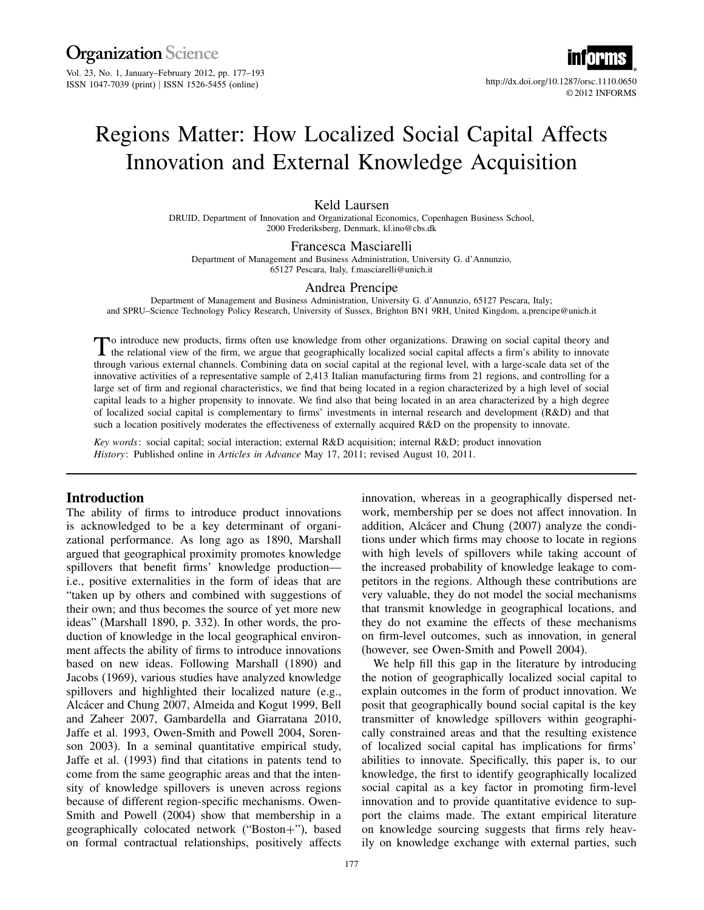**Organization Science** 

Vol. 23, No. 1, January–February 2012, pp. 177–193 ISSN 1047-7039 (print) | ISSN 1526-5455 (online) http://dx.doi.org/10.1287/orsc.1110.0650



# Regions Matter: How Localized Social Capital Affects Innovation and External Knowledge Acquisition

# Keld Laursen

DRUID, Department of Innovation and Organizational Economics, Copenhagen Business School, 2000 Frederiksberg, Denmark, kl.ino@cbs.dk

Francesca Masciarelli Department of Management and Business Administration, University G. d'Annunzio, 65127 Pescara, Italy, f.masciarelli@unich.it

# Andrea Prencipe

Department of Management and Business Administration, University G. d'Annunzio, 65127 Pescara, Italy; and SPRU–Science Technology Policy Research, University of Sussex, Brighton BN1 9RH, United Kingdom, a.prencipe@unich.it

To introduce new products, firms often use knowledge from other organizations. Drawing on social capital theory and the relational view of the firm, we argue that geographically localized social capital affects a firm's ability to innovate through various external channels. Combining data on social capital at the regional level, with a large-scale data set of the innovative activities of a representative sample of 2,413 Italian manufacturing firms from 21 regions, and controlling for a large set of firm and regional characteristics, we find that being located in a region characterized by a high level of social capital leads to a higher propensity to innovate. We find also that being located in an area characterized by a high degree of localized social capital is complementary to firms' investments in internal research and development (R&D) and that such a location positively moderates the effectiveness of externally acquired R&D on the propensity to innovate.

*Key words*: social capital; social interaction; external R&D acquisition; internal R&D; product innovation *History*: Published online in *Articles in Advance* May 17, 2011; revised August 10, 2011.

# Introduction

The ability of firms to introduce product innovations is acknowledged to be a key determinant of organizational performance. As long ago as 1890, Marshall argued that geographical proximity promotes knowledge spillovers that benefit firms' knowledge production i.e., positive externalities in the form of ideas that are "taken up by others and combined with suggestions of their own; and thus becomes the source of yet more new ideas" (Marshall 1890, p. 332). In other words, the production of knowledge in the local geographical environment affects the ability of firms to introduce innovations based on new ideas. Following Marshall (1890) and Jacobs (1969), various studies have analyzed knowledge spillovers and highlighted their localized nature (e.g., Alcácer and Chung 2007, Almeida and Kogut 1999, Bell and Zaheer 2007, Gambardella and Giarratana 2010, Jaffe et al. 1993, Owen-Smith and Powell 2004, Sorenson 2003). In a seminal quantitative empirical study, Jaffe et al. (1993) find that citations in patents tend to come from the same geographic areas and that the intensity of knowledge spillovers is uneven across regions because of different region-specific mechanisms. Owen-Smith and Powell (2004) show that membership in a geographically colocated network ("Boston+"), based on formal contractual relationships, positively affects innovation, whereas in a geographically dispersed network, membership per se does not affect innovation. In addition, Alcácer and Chung (2007) analyze the conditions under which firms may choose to locate in regions with high levels of spillovers while taking account of the increased probability of knowledge leakage to competitors in the regions. Although these contributions are very valuable, they do not model the social mechanisms that transmit knowledge in geographical locations, and they do not examine the effects of these mechanisms on firm-level outcomes, such as innovation, in general (however, see Owen-Smith and Powell 2004).

We help fill this gap in the literature by introducing the notion of geographically localized social capital to explain outcomes in the form of product innovation. We posit that geographically bound social capital is the key transmitter of knowledge spillovers within geographically constrained areas and that the resulting existence of localized social capital has implications for firms' abilities to innovate. Specifically, this paper is, to our knowledge, the first to identify geographically localized social capital as a key factor in promoting firm-level innovation and to provide quantitative evidence to support the claims made. The extant empirical literature on knowledge sourcing suggests that firms rely heavily on knowledge exchange with external parties, such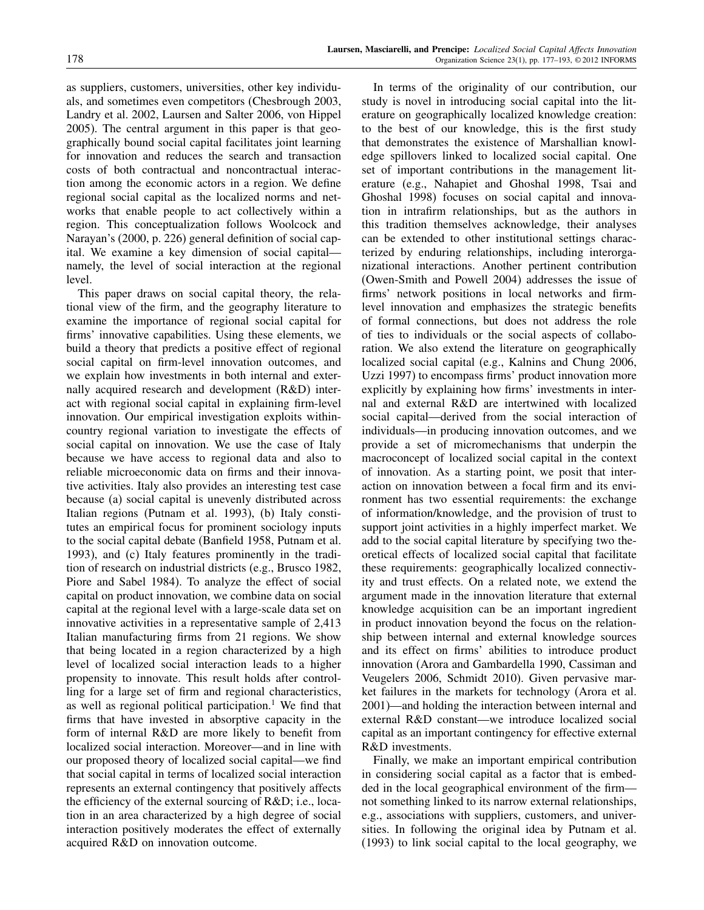as suppliers, customers, universities, other key individuals, and sometimes even competitors (Chesbrough 2003, Landry et al. 2002, Laursen and Salter 2006, von Hippel 2005). The central argument in this paper is that geographically bound social capital facilitates joint learning for innovation and reduces the search and transaction costs of both contractual and noncontractual interaction among the economic actors in a region. We define regional social capital as the localized norms and networks that enable people to act collectively within a region. This conceptualization follows Woolcock and Narayan's (2000, p. 226) general definition of social capital. We examine a key dimension of social capital namely, the level of social interaction at the regional level.

This paper draws on social capital theory, the relational view of the firm, and the geography literature to examine the importance of regional social capital for firms' innovative capabilities. Using these elements, we build a theory that predicts a positive effect of regional social capital on firm-level innovation outcomes, and we explain how investments in both internal and externally acquired research and development (R&D) interact with regional social capital in explaining firm-level innovation. Our empirical investigation exploits withincountry regional variation to investigate the effects of social capital on innovation. We use the case of Italy because we have access to regional data and also to reliable microeconomic data on firms and their innovative activities. Italy also provides an interesting test case because (a) social capital is unevenly distributed across Italian regions (Putnam et al. 1993), (b) Italy constitutes an empirical focus for prominent sociology inputs to the social capital debate (Banfield 1958, Putnam et al. 1993), and (c) Italy features prominently in the tradition of research on industrial districts (e.g., Brusco 1982, Piore and Sabel 1984). To analyze the effect of social capital on product innovation, we combine data on social capital at the regional level with a large-scale data set on innovative activities in a representative sample of 2,413 Italian manufacturing firms from 21 regions. We show that being located in a region characterized by a high level of localized social interaction leads to a higher propensity to innovate. This result holds after controlling for a large set of firm and regional characteristics, as well as regional political participation.<sup>1</sup> We find that firms that have invested in absorptive capacity in the form of internal R&D are more likely to benefit from localized social interaction. Moreover—and in line with our proposed theory of localized social capital—we find that social capital in terms of localized social interaction represents an external contingency that positively affects the efficiency of the external sourcing of R&D; i.e., location in an area characterized by a high degree of social interaction positively moderates the effect of externally acquired R&D on innovation outcome.

In terms of the originality of our contribution, our study is novel in introducing social capital into the literature on geographically localized knowledge creation: to the best of our knowledge, this is the first study that demonstrates the existence of Marshallian knowledge spillovers linked to localized social capital. One set of important contributions in the management literature (e.g., Nahapiet and Ghoshal 1998, Tsai and Ghoshal 1998) focuses on social capital and innovation in intrafirm relationships, but as the authors in this tradition themselves acknowledge, their analyses can be extended to other institutional settings characterized by enduring relationships, including interorganizational interactions. Another pertinent contribution (Owen-Smith and Powell 2004) addresses the issue of firms' network positions in local networks and firmlevel innovation and emphasizes the strategic benefits of formal connections, but does not address the role of ties to individuals or the social aspects of collaboration. We also extend the literature on geographically localized social capital (e.g., Kalnins and Chung 2006, Uzzi 1997) to encompass firms' product innovation more explicitly by explaining how firms' investments in internal and external R&D are intertwined with localized social capital—derived from the social interaction of individuals—in producing innovation outcomes, and we provide a set of micromechanisms that underpin the macroconcept of localized social capital in the context of innovation. As a starting point, we posit that interaction on innovation between a focal firm and its environment has two essential requirements: the exchange of information/knowledge, and the provision of trust to support joint activities in a highly imperfect market. We add to the social capital literature by specifying two theoretical effects of localized social capital that facilitate these requirements: geographically localized connectivity and trust effects. On a related note, we extend the argument made in the innovation literature that external knowledge acquisition can be an important ingredient in product innovation beyond the focus on the relationship between internal and external knowledge sources and its effect on firms' abilities to introduce product innovation (Arora and Gambardella 1990, Cassiman and Veugelers 2006, Schmidt 2010). Given pervasive market failures in the markets for technology (Arora et al. 2001)—and holding the interaction between internal and external R&D constant—we introduce localized social capital as an important contingency for effective external R&D investments.

Finally, we make an important empirical contribution in considering social capital as a factor that is embedded in the local geographical environment of the firm not something linked to its narrow external relationships, e.g., associations with suppliers, customers, and universities. In following the original idea by Putnam et al. (1993) to link social capital to the local geography, we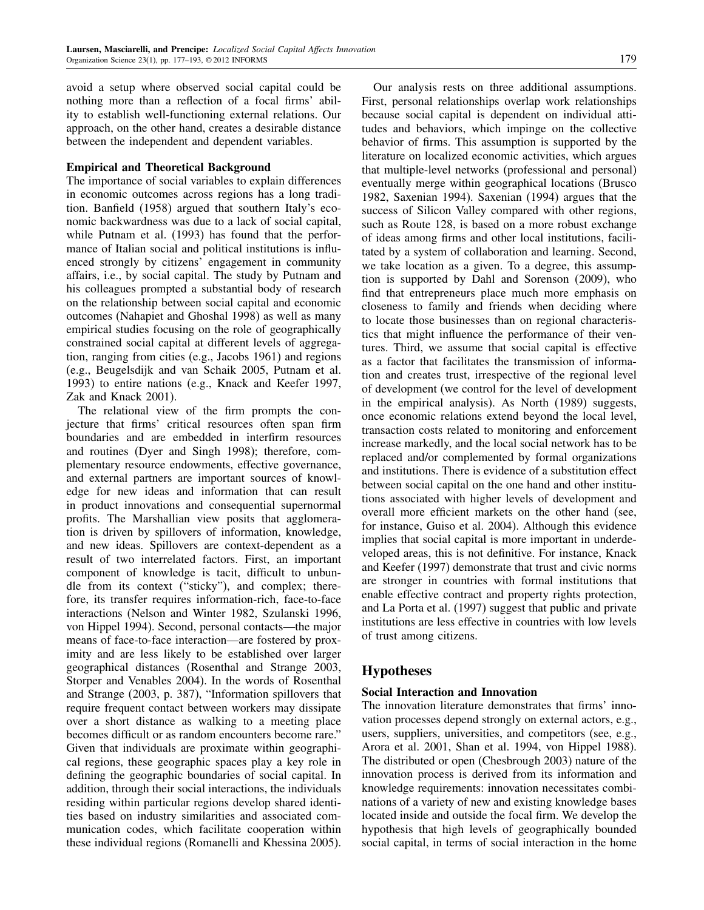avoid a setup where observed social capital could be nothing more than a reflection of a focal firms' ability to establish well-functioning external relations. Our approach, on the other hand, creates a desirable distance between the independent and dependent variables.

# Empirical and Theoretical Background

The importance of social variables to explain differences in economic outcomes across regions has a long tradition. Banfield (1958) argued that southern Italy's economic backwardness was due to a lack of social capital, while Putnam et al. (1993) has found that the performance of Italian social and political institutions is influenced strongly by citizens' engagement in community affairs, i.e., by social capital. The study by Putnam and his colleagues prompted a substantial body of research on the relationship between social capital and economic outcomes (Nahapiet and Ghoshal 1998) as well as many empirical studies focusing on the role of geographically constrained social capital at different levels of aggregation, ranging from cities (e.g., Jacobs 1961) and regions (e.g., Beugelsdijk and van Schaik 2005, Putnam et al. 1993) to entire nations (e.g., Knack and Keefer 1997, Zak and Knack 2001).

The relational view of the firm prompts the conjecture that firms' critical resources often span firm boundaries and are embedded in interfirm resources and routines (Dyer and Singh 1998); therefore, complementary resource endowments, effective governance, and external partners are important sources of knowledge for new ideas and information that can result in product innovations and consequential supernormal profits. The Marshallian view posits that agglomeration is driven by spillovers of information, knowledge, and new ideas. Spillovers are context-dependent as a result of two interrelated factors. First, an important component of knowledge is tacit, difficult to unbundle from its context ("sticky"), and complex; therefore, its transfer requires information-rich, face-to-face interactions (Nelson and Winter 1982, Szulanski 1996, von Hippel 1994). Second, personal contacts—the major means of face-to-face interaction—are fostered by proximity and are less likely to be established over larger geographical distances (Rosenthal and Strange 2003, Storper and Venables 2004). In the words of Rosenthal and Strange (2003, p. 387), "Information spillovers that require frequent contact between workers may dissipate over a short distance as walking to a meeting place becomes difficult or as random encounters become rare." Given that individuals are proximate within geographical regions, these geographic spaces play a key role in defining the geographic boundaries of social capital. In addition, through their social interactions, the individuals residing within particular regions develop shared identities based on industry similarities and associated communication codes, which facilitate cooperation within these individual regions (Romanelli and Khessina 2005).

Our analysis rests on three additional assumptions. First, personal relationships overlap work relationships because social capital is dependent on individual attitudes and behaviors, which impinge on the collective behavior of firms. This assumption is supported by the literature on localized economic activities, which argues that multiple-level networks (professional and personal) eventually merge within geographical locations (Brusco 1982, Saxenian 1994). Saxenian (1994) argues that the success of Silicon Valley compared with other regions, such as Route 128, is based on a more robust exchange of ideas among firms and other local institutions, facilitated by a system of collaboration and learning. Second, we take location as a given. To a degree, this assumption is supported by Dahl and Sorenson (2009), who find that entrepreneurs place much more emphasis on closeness to family and friends when deciding where to locate those businesses than on regional characteristics that might influence the performance of their ventures. Third, we assume that social capital is effective as a factor that facilitates the transmission of information and creates trust, irrespective of the regional level of development (we control for the level of development in the empirical analysis). As North (1989) suggests, once economic relations extend beyond the local level, transaction costs related to monitoring and enforcement increase markedly, and the local social network has to be replaced and/or complemented by formal organizations and institutions. There is evidence of a substitution effect between social capital on the one hand and other institutions associated with higher levels of development and overall more efficient markets on the other hand (see, for instance, Guiso et al. 2004). Although this evidence implies that social capital is more important in underdeveloped areas, this is not definitive. For instance, Knack and Keefer (1997) demonstrate that trust and civic norms are stronger in countries with formal institutions that enable effective contract and property rights protection, and La Porta et al. (1997) suggest that public and private institutions are less effective in countries with low levels of trust among citizens.

# Hypotheses

### Social Interaction and Innovation

The innovation literature demonstrates that firms' innovation processes depend strongly on external actors, e.g., users, suppliers, universities, and competitors (see, e.g., Arora et al. 2001, Shan et al. 1994, von Hippel 1988). The distributed or open (Chesbrough 2003) nature of the innovation process is derived from its information and knowledge requirements: innovation necessitates combinations of a variety of new and existing knowledge bases located inside and outside the focal firm. We develop the hypothesis that high levels of geographically bounded social capital, in terms of social interaction in the home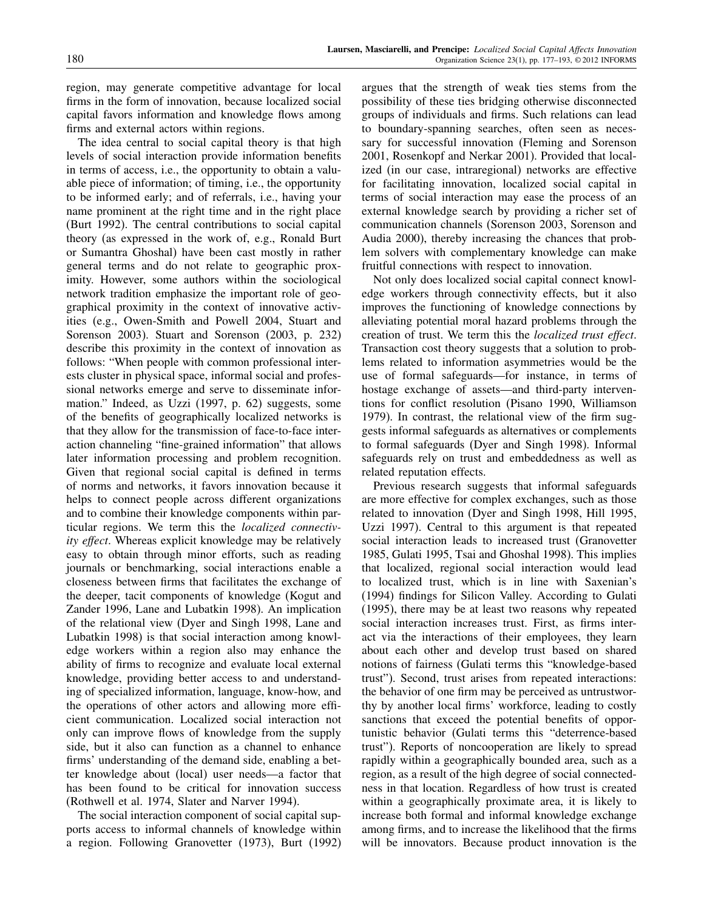firms and external actors within regions.

The idea central to social capital theory is that high levels of social interaction provide information benefits in terms of access, i.e., the opportunity to obtain a valuable piece of information; of timing, i.e., the opportunity to be informed early; and of referrals, i.e., having your name prominent at the right time and in the right place (Burt 1992). The central contributions to social capital theory (as expressed in the work of, e.g., Ronald Burt or Sumantra Ghoshal) have been cast mostly in rather general terms and do not relate to geographic proximity. However, some authors within the sociological network tradition emphasize the important role of geographical proximity in the context of innovative activities (e.g., Owen-Smith and Powell 2004, Stuart and Sorenson 2003). Stuart and Sorenson (2003, p. 232) describe this proximity in the context of innovation as follows: "When people with common professional interests cluster in physical space, informal social and professional networks emerge and serve to disseminate information." Indeed, as Uzzi (1997, p. 62) suggests, some of the benefits of geographically localized networks is that they allow for the transmission of face-to-face interaction channeling "fine-grained information" that allows later information processing and problem recognition. Given that regional social capital is defined in terms of norms and networks, it favors innovation because it helps to connect people across different organizations and to combine their knowledge components within particular regions. We term this the *localized connectivity effect*. Whereas explicit knowledge may be relatively easy to obtain through minor efforts, such as reading journals or benchmarking, social interactions enable a closeness between firms that facilitates the exchange of the deeper, tacit components of knowledge (Kogut and Zander 1996, Lane and Lubatkin 1998). An implication of the relational view (Dyer and Singh 1998, Lane and Lubatkin 1998) is that social interaction among knowledge workers within a region also may enhance the ability of firms to recognize and evaluate local external knowledge, providing better access to and understanding of specialized information, language, know-how, and the operations of other actors and allowing more efficient communication. Localized social interaction not only can improve flows of knowledge from the supply side, but it also can function as a channel to enhance firms' understanding of the demand side, enabling a better knowledge about (local) user needs—a factor that has been found to be critical for innovation success (Rothwell et al. 1974, Slater and Narver 1994).

The social interaction component of social capital supports access to informal channels of knowledge within a region. Following Granovetter (1973), Burt (1992) argues that the strength of weak ties stems from the possibility of these ties bridging otherwise disconnected groups of individuals and firms. Such relations can lead to boundary-spanning searches, often seen as necessary for successful innovation (Fleming and Sorenson 2001, Rosenkopf and Nerkar 2001). Provided that localized (in our case, intraregional) networks are effective for facilitating innovation, localized social capital in terms of social interaction may ease the process of an external knowledge search by providing a richer set of communication channels (Sorenson 2003, Sorenson and Audia 2000), thereby increasing the chances that problem solvers with complementary knowledge can make fruitful connections with respect to innovation.

Not only does localized social capital connect knowledge workers through connectivity effects, but it also improves the functioning of knowledge connections by alleviating potential moral hazard problems through the creation of trust. We term this the *localized trust effect*. Transaction cost theory suggests that a solution to problems related to information asymmetries would be the use of formal safeguards—for instance, in terms of hostage exchange of assets—and third-party interventions for conflict resolution (Pisano 1990, Williamson 1979). In contrast, the relational view of the firm suggests informal safeguards as alternatives or complements to formal safeguards (Dyer and Singh 1998). Informal safeguards rely on trust and embeddedness as well as related reputation effects.

Previous research suggests that informal safeguards are more effective for complex exchanges, such as those related to innovation (Dyer and Singh 1998, Hill 1995, Uzzi 1997). Central to this argument is that repeated social interaction leads to increased trust (Granovetter 1985, Gulati 1995, Tsai and Ghoshal 1998). This implies that localized, regional social interaction would lead to localized trust, which is in line with Saxenian's (1994) findings for Silicon Valley. According to Gulati (1995), there may be at least two reasons why repeated social interaction increases trust. First, as firms interact via the interactions of their employees, they learn about each other and develop trust based on shared notions of fairness (Gulati terms this "knowledge-based trust"). Second, trust arises from repeated interactions: the behavior of one firm may be perceived as untrustworthy by another local firms' workforce, leading to costly sanctions that exceed the potential benefits of opportunistic behavior (Gulati terms this "deterrence-based trust"). Reports of noncooperation are likely to spread rapidly within a geographically bounded area, such as a region, as a result of the high degree of social connectedness in that location. Regardless of how trust is created within a geographically proximate area, it is likely to increase both formal and informal knowledge exchange among firms, and to increase the likelihood that the firms will be innovators. Because product innovation is the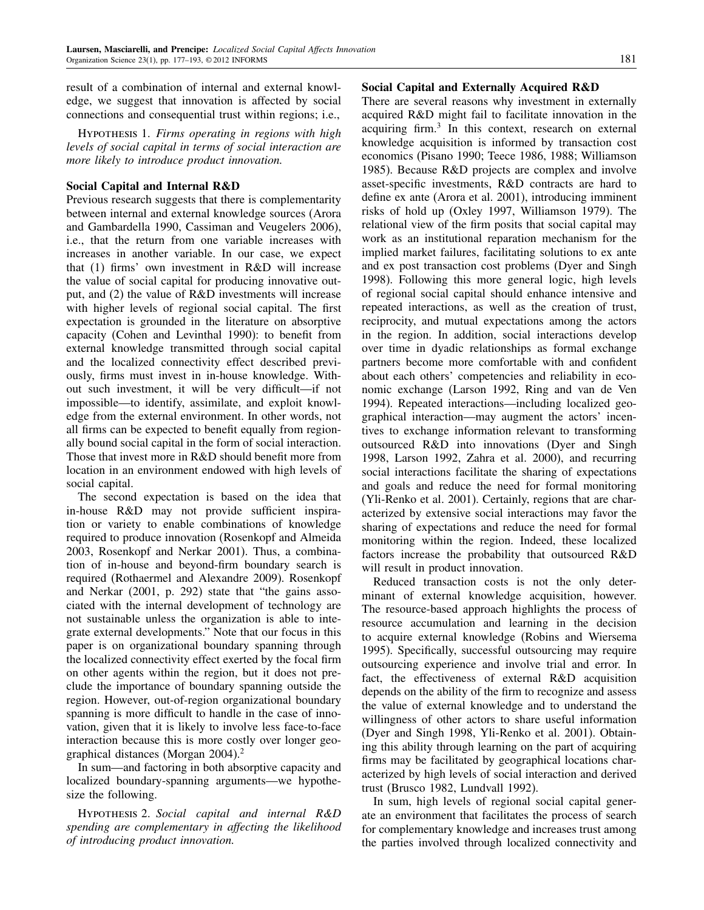result of a combination of internal and external knowledge, we suggest that innovation is affected by social connections and consequential trust within regions; i.e.,

Hypothesis 1. *Firms operating in regions with high levels of social capital in terms of social interaction are more likely to introduce product innovation.*

## Social Capital and Internal R&D

Previous research suggests that there is complementarity between internal and external knowledge sources (Arora and Gambardella 1990, Cassiman and Veugelers 2006), i.e., that the return from one variable increases with increases in another variable. In our case, we expect that (1) firms' own investment in R&D will increase the value of social capital for producing innovative output, and (2) the value of R&D investments will increase with higher levels of regional social capital. The first expectation is grounded in the literature on absorptive capacity (Cohen and Levinthal 1990): to benefit from external knowledge transmitted through social capital and the localized connectivity effect described previously, firms must invest in in-house knowledge. Without such investment, it will be very difficult—if not impossible—to identify, assimilate, and exploit knowledge from the external environment. In other words, not all firms can be expected to benefit equally from regionally bound social capital in the form of social interaction. Those that invest more in R&D should benefit more from location in an environment endowed with high levels of social capital.

The second expectation is based on the idea that in-house R&D may not provide sufficient inspiration or variety to enable combinations of knowledge required to produce innovation (Rosenkopf and Almeida 2003, Rosenkopf and Nerkar 2001). Thus, a combination of in-house and beyond-firm boundary search is required (Rothaermel and Alexandre 2009). Rosenkopf and Nerkar (2001, p. 292) state that "the gains associated with the internal development of technology are not sustainable unless the organization is able to integrate external developments." Note that our focus in this paper is on organizational boundary spanning through the localized connectivity effect exerted by the focal firm on other agents within the region, but it does not preclude the importance of boundary spanning outside the region. However, out-of-region organizational boundary spanning is more difficult to handle in the case of innovation, given that it is likely to involve less face-to-face interaction because this is more costly over longer geographical distances (Morgan 2004).2

In sum—and factoring in both absorptive capacity and localized boundary-spanning arguments—we hypothesize the following.

Hypothesis 2. *Social capital and internal R&D spending are complementary in affecting the likelihood of introducing product innovation.*

### Social Capital and Externally Acquired R&D

There are several reasons why investment in externally acquired R&D might fail to facilitate innovation in the acquiring firm.3 In this context, research on external knowledge acquisition is informed by transaction cost economics (Pisano 1990; Teece 1986, 1988; Williamson 1985). Because R&D projects are complex and involve asset-specific investments, R&D contracts are hard to define ex ante (Arora et al. 2001), introducing imminent risks of hold up (Oxley 1997, Williamson 1979). The relational view of the firm posits that social capital may work as an institutional reparation mechanism for the implied market failures, facilitating solutions to ex ante and ex post transaction cost problems (Dyer and Singh 1998). Following this more general logic, high levels of regional social capital should enhance intensive and repeated interactions, as well as the creation of trust, reciprocity, and mutual expectations among the actors in the region. In addition, social interactions develop over time in dyadic relationships as formal exchange partners become more comfortable with and confident about each others' competencies and reliability in economic exchange (Larson 1992, Ring and van de Ven 1994). Repeated interactions—including localized geographical interaction—may augment the actors' incentives to exchange information relevant to transforming outsourced R&D into innovations (Dyer and Singh 1998, Larson 1992, Zahra et al. 2000), and recurring social interactions facilitate the sharing of expectations and goals and reduce the need for formal monitoring (Yli-Renko et al. 2001). Certainly, regions that are characterized by extensive social interactions may favor the sharing of expectations and reduce the need for formal monitoring within the region. Indeed, these localized factors increase the probability that outsourced R&D will result in product innovation.

Reduced transaction costs is not the only determinant of external knowledge acquisition, however. The resource-based approach highlights the process of resource accumulation and learning in the decision to acquire external knowledge (Robins and Wiersema 1995). Specifically, successful outsourcing may require outsourcing experience and involve trial and error. In fact, the effectiveness of external R&D acquisition depends on the ability of the firm to recognize and assess the value of external knowledge and to understand the willingness of other actors to share useful information (Dyer and Singh 1998, Yli-Renko et al. 2001). Obtaining this ability through learning on the part of acquiring firms may be facilitated by geographical locations characterized by high levels of social interaction and derived trust (Brusco 1982, Lundvall 1992).

In sum, high levels of regional social capital generate an environment that facilitates the process of search for complementary knowledge and increases trust among the parties involved through localized connectivity and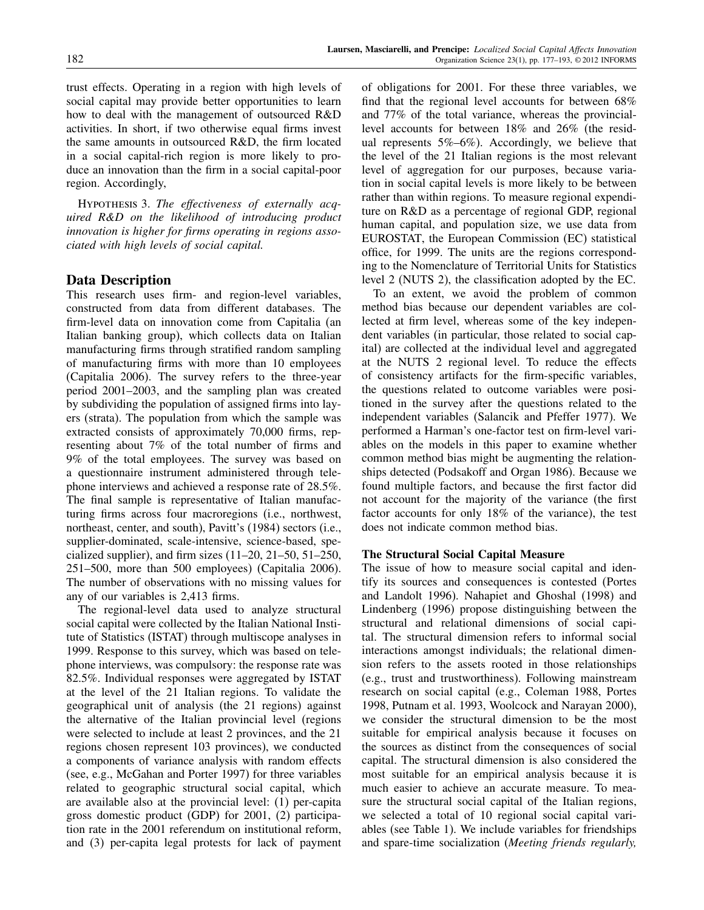trust effects. Operating in a region with high levels of social capital may provide better opportunities to learn how to deal with the management of outsourced R&D activities. In short, if two otherwise equal firms invest the same amounts in outsourced R&D, the firm located in a social capital-rich region is more likely to produce an innovation than the firm in a social capital-poor region. Accordingly,

Hypothesis 3. *The effectiveness of externally acquired R&D on the likelihood of introducing product innovation is higher for firms operating in regions associated with high levels of social capital.*

# Data Description

This research uses firm- and region-level variables, constructed from data from different databases. The firm-level data on innovation come from Capitalia (an Italian banking group), which collects data on Italian manufacturing firms through stratified random sampling of manufacturing firms with more than 10 employees (Capitalia 2006). The survey refers to the three-year period 2001–2003, and the sampling plan was created by subdividing the population of assigned firms into layers (strata). The population from which the sample was extracted consists of approximately 70,000 firms, representing about 7% of the total number of firms and 9% of the total employees. The survey was based on a questionnaire instrument administered through telephone interviews and achieved a response rate of 28.5%. The final sample is representative of Italian manufacturing firms across four macroregions (i.e., northwest, northeast, center, and south), Pavitt's (1984) sectors (i.e., supplier-dominated, scale-intensive, science-based, specialized supplier), and firm sizes (11–20, 21–50, 51–250, 251–500, more than 500 employees) (Capitalia 2006). The number of observations with no missing values for any of our variables is 2,413 firms.

The regional-level data used to analyze structural social capital were collected by the Italian National Institute of Statistics (ISTAT) through multiscope analyses in 1999. Response to this survey, which was based on telephone interviews, was compulsory: the response rate was 82.5%. Individual responses were aggregated by ISTAT at the level of the 21 Italian regions. To validate the geographical unit of analysis (the 21 regions) against the alternative of the Italian provincial level (regions were selected to include at least 2 provinces, and the 21 regions chosen represent 103 provinces), we conducted a components of variance analysis with random effects (see, e.g., McGahan and Porter 1997) for three variables related to geographic structural social capital, which are available also at the provincial level: (1) per-capita gross domestic product (GDP) for 2001, (2) participation rate in the 2001 referendum on institutional reform, and (3) per-capita legal protests for lack of payment of obligations for 2001. For these three variables, we find that the regional level accounts for between 68% and 77% of the total variance, whereas the provinciallevel accounts for between 18% and 26% (the residual represents  $5\%$ –6%). Accordingly, we believe that the level of the 21 Italian regions is the most relevant level of aggregation for our purposes, because variation in social capital levels is more likely to be between rather than within regions. To measure regional expenditure on R&D as a percentage of regional GDP, regional human capital, and population size, we use data from EUROSTAT, the European Commission (EC) statistical office, for 1999. The units are the regions corresponding to the Nomenclature of Territorial Units for Statistics level 2 (NUTS 2), the classification adopted by the EC.

To an extent, we avoid the problem of common method bias because our dependent variables are collected at firm level, whereas some of the key independent variables (in particular, those related to social capital) are collected at the individual level and aggregated at the NUTS 2 regional level. To reduce the effects of consistency artifacts for the firm-specific variables, the questions related to outcome variables were positioned in the survey after the questions related to the independent variables (Salancik and Pfeffer 1977). We performed a Harman's one-factor test on firm-level variables on the models in this paper to examine whether common method bias might be augmenting the relationships detected (Podsakoff and Organ 1986). Because we found multiple factors, and because the first factor did not account for the majority of the variance (the first factor accounts for only 18% of the variance), the test does not indicate common method bias.

# The Structural Social Capital Measure

The issue of how to measure social capital and identify its sources and consequences is contested (Portes and Landolt 1996). Nahapiet and Ghoshal (1998) and Lindenberg (1996) propose distinguishing between the structural and relational dimensions of social capital. The structural dimension refers to informal social interactions amongst individuals; the relational dimension refers to the assets rooted in those relationships (e.g., trust and trustworthiness). Following mainstream research on social capital (e.g., Coleman 1988, Portes 1998, Putnam et al. 1993, Woolcock and Narayan 2000), we consider the structural dimension to be the most suitable for empirical analysis because it focuses on the sources as distinct from the consequences of social capital. The structural dimension is also considered the most suitable for an empirical analysis because it is much easier to achieve an accurate measure. To measure the structural social capital of the Italian regions, we selected a total of 10 regional social capital variables (see Table 1). We include variables for friendships and spare-time socialization (*Meeting friends regularly,*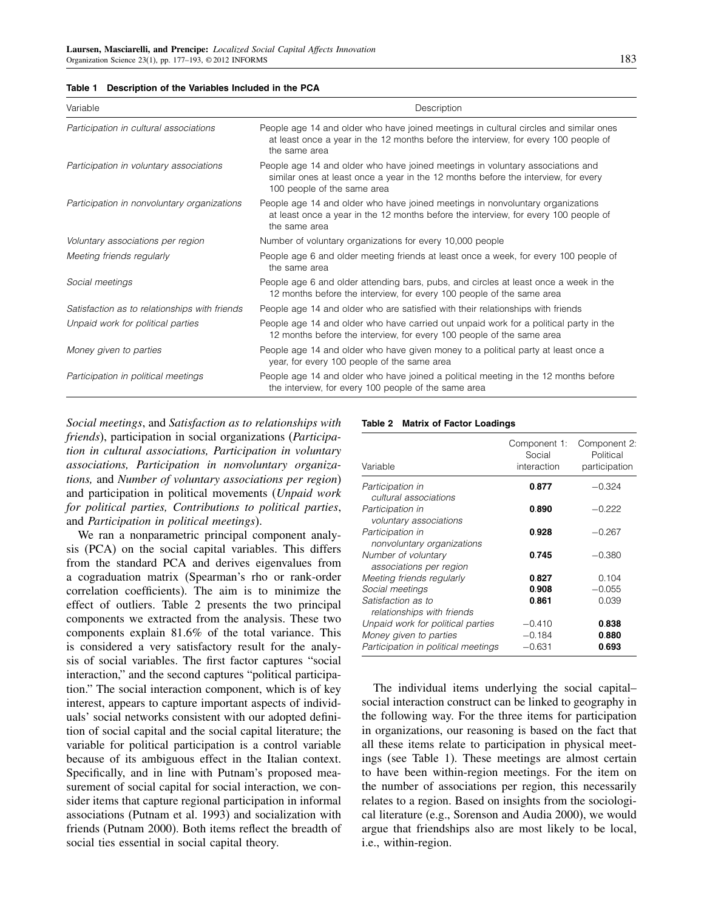# Variable Description Participation in cultural associations People age 14 and older who have joined meetings in cultural circles and similar ones at least once a year in the 12 months before the interview, for every 100 people of the same area Participation in voluntary associations People age 14 and older who have joined meetings in voluntary associations and similar ones at least once a year in the 12 months before the interview, for every 100 people of the same area Participation in nonvoluntary organizations People age 14 and older who have joined meetings in nonvoluntary organizations at least once a year in the 12 months before the interview, for every 100 people of the same area Voluntary associations per region Number of voluntary organizations for every 10,000 people Meeting friends regularly People age 6 and older meeting friends at least once a week, for every 100 people of the same area Social meetings **People age 6 and older attending bars**, pubs, and circles at least once a week in the 12 months before the interview, for every 100 people of the same area Satisfaction as to relationships with friends People age 14 and older who are satisfied with their relationships with friends Unpaid work for political parties People age 14 and older who have carried out unpaid work for a political party in the 12 months before the interview, for every 100 people of the same area Money given to parties **People age 14** and older who have given money to a political party at least once a year, for every 100 people of the same area Participation in political meetings People age 14 and older who have joined a political meeting in the 12 months before the interview, for every 100 people of the same area

#### Table 1 Description of the Variables Included in the PCA

*Social meetings*, and *Satisfaction as to relationships with friends*), participation in social organizations (*Participation in cultural associations, Participation in voluntary associations, Participation in nonvoluntary organizations,* and *Number of voluntary associations per region*) and participation in political movements (*Unpaid work for political parties, Contributions to political parties*, and *Participation in political meetings*).

We ran a nonparametric principal component analysis (PCA) on the social capital variables. This differs from the standard PCA and derives eigenvalues from a cograduation matrix (Spearman's rho or rank-order correlation coefficients). The aim is to minimize the effect of outliers. Table 2 presents the two principal components we extracted from the analysis. These two components explain 81.6% of the total variance. This is considered a very satisfactory result for the analysis of social variables. The first factor captures "social interaction," and the second captures "political participation." The social interaction component, which is of key interest, appears to capture important aspects of individuals' social networks consistent with our adopted definition of social capital and the social capital literature; the variable for political participation is a control variable because of its ambiguous effect in the Italian context. Specifically, and in line with Putnam's proposed measurement of social capital for social interaction, we consider items that capture regional participation in informal associations (Putnam et al. 1993) and socialization with friends (Putnam 2000). Both items reflect the breadth of social ties essential in social capital theory.

#### Table 2 Matrix of Factor Loadings

| Variable                                         | Component 1:<br>Social<br>interaction | Component 2:<br>Political<br>participation |
|--------------------------------------------------|---------------------------------------|--------------------------------------------|
| Participation in<br>cultural associations        | 0.877                                 | $-0.324$                                   |
| Participation in<br>voluntary associations       | 0.890                                 | $-0.222$                                   |
| Participation in<br>nonvoluntary organizations   | 0.928                                 | $-0.267$                                   |
| Number of voluntary<br>associations per region   | 0.745                                 | $-0.380$                                   |
| Meeting friends regularly                        | 0.827                                 | 0.104                                      |
| Social meetings                                  | 0.908                                 | $-0.055$                                   |
| Satisfaction as to<br>relationships with friends | 0.861                                 | 0.039                                      |
| Unpaid work for political parties                | $-0.410$                              | 0.838                                      |
| Money given to parties                           | $-0.184$                              | 0.880                                      |
| Participation in political meetings              | $-0.631$                              | 0.693                                      |
|                                                  |                                       |                                            |

The individual items underlying the social capital– social interaction construct can be linked to geography in the following way. For the three items for participation in organizations, our reasoning is based on the fact that all these items relate to participation in physical meetings (see Table 1). These meetings are almost certain to have been within-region meetings. For the item on the number of associations per region, this necessarily relates to a region. Based on insights from the sociological literature (e.g., Sorenson and Audia 2000), we would argue that friendships also are most likely to be local, i.e., within-region.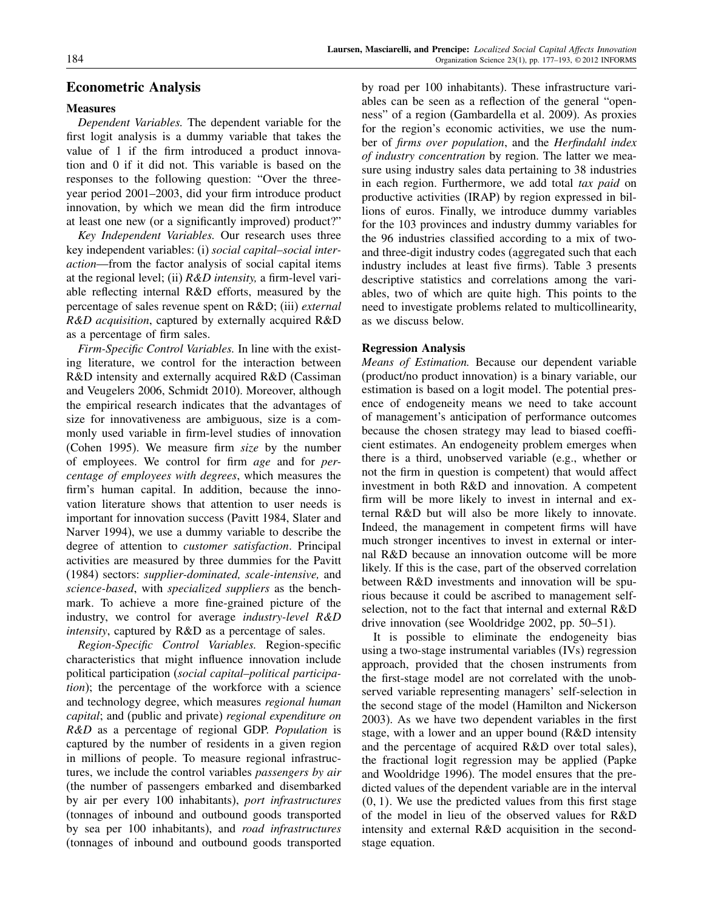# Econometric Analysis

### **Measures**

*Dependent Variables.* The dependent variable for the first logit analysis is a dummy variable that takes the value of 1 if the firm introduced a product innovation and 0 if it did not. This variable is based on the responses to the following question: "Over the threeyear period 2001–2003, did your firm introduce product innovation, by which we mean did the firm introduce at least one new (or a significantly improved) product?"

*Key Independent Variables.* Our research uses three key independent variables: (i) *social capital–social interaction*—from the factor analysis of social capital items at the regional level; (ii) *R&D intensity,* a firm-level variable reflecting internal R&D efforts, measured by the percentage of sales revenue spent on R&D; (iii) *external R&D acquisition*, captured by externally acquired R&D as a percentage of firm sales.

*Firm-Specific Control Variables.* In line with the existing literature, we control for the interaction between R&D intensity and externally acquired R&D (Cassiman and Veugelers 2006, Schmidt 2010). Moreover, although the empirical research indicates that the advantages of size for innovativeness are ambiguous, size is a commonly used variable in firm-level studies of innovation (Cohen 1995). We measure firm *size* by the number of employees. We control for firm *age* and for *percentage of employees with degrees*, which measures the firm's human capital. In addition, because the innovation literature shows that attention to user needs is important for innovation success (Pavitt 1984, Slater and Narver 1994), we use a dummy variable to describe the degree of attention to *customer satisfaction*. Principal activities are measured by three dummies for the Pavitt (1984) sectors: *supplier-dominated, scale-intensive,* and *science-based*, with *specialized suppliers* as the benchmark. To achieve a more fine-grained picture of the industry, we control for average *industry-level R&D intensity*, captured by R&D as a percentage of sales.

*Region-Specific Control Variables.* Region-specific characteristics that might influence innovation include political participation (*social capital–political participation*); the percentage of the workforce with a science and technology degree, which measures *regional human capital*; and (public and private) *regional expenditure on R&D* as a percentage of regional GDP. *Population* is captured by the number of residents in a given region in millions of people. To measure regional infrastructures, we include the control variables *passengers by air* (the number of passengers embarked and disembarked by air per every 100 inhabitants), *port infrastructures* (tonnages of inbound and outbound goods transported by sea per 100 inhabitants), and *road infrastructures* (tonnages of inbound and outbound goods transported by road per 100 inhabitants). These infrastructure variables can be seen as a reflection of the general "openness" of a region (Gambardella et al. 2009). As proxies for the region's economic activities, we use the number of *firms over population*, and the *Herfindahl index of industry concentration* by region. The latter we measure using industry sales data pertaining to 38 industries in each region. Furthermore, we add total *tax paid* on productive activities (IRAP) by region expressed in billions of euros. Finally, we introduce dummy variables for the 103 provinces and industry dummy variables for the 96 industries classified according to a mix of twoand three-digit industry codes (aggregated such that each industry includes at least five firms). Table 3 presents descriptive statistics and correlations among the variables, two of which are quite high. This points to the need to investigate problems related to multicollinearity, as we discuss below.

### Regression Analysis

*Means of Estimation.* Because our dependent variable (product/no product innovation) is a binary variable, our estimation is based on a logit model. The potential presence of endogeneity means we need to take account of management's anticipation of performance outcomes because the chosen strategy may lead to biased coefficient estimates. An endogeneity problem emerges when there is a third, unobserved variable (e.g., whether or not the firm in question is competent) that would affect investment in both R&D and innovation. A competent firm will be more likely to invest in internal and external R&D but will also be more likely to innovate. Indeed, the management in competent firms will have much stronger incentives to invest in external or internal R&D because an innovation outcome will be more likely. If this is the case, part of the observed correlation between R&D investments and innovation will be spurious because it could be ascribed to management selfselection, not to the fact that internal and external R&D drive innovation (see Wooldridge 2002, pp. 50–51).

It is possible to eliminate the endogeneity bias using a two-stage instrumental variables (IVs) regression approach, provided that the chosen instruments from the first-stage model are not correlated with the unobserved variable representing managers' self-selection in the second stage of the model (Hamilton and Nickerson 2003). As we have two dependent variables in the first stage, with a lower and an upper bound (R&D intensity and the percentage of acquired R&D over total sales), the fractional logit regression may be applied (Papke and Wooldridge 1996). The model ensures that the predicted values of the dependent variable are in the interval  $(0, 1)$ . We use the predicted values from this first stage of the model in lieu of the observed values for R&D intensity and external R&D acquisition in the secondstage equation.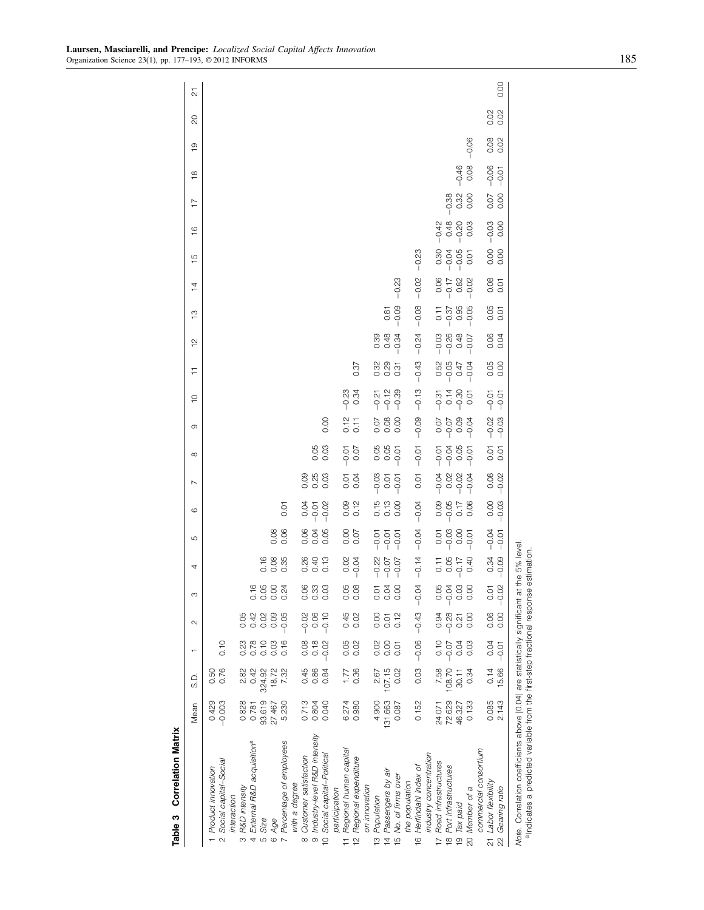|                                                         | Mean     | Ö.     |         | $\mathbf{\Omega}$ | S                                                                       | 4                             | Ю                             | ဖ                 | $\sim$                                                 | $^{\circ}$              | တ                | <u>۽</u>                      | Ξ                      | $\frac{1}{2}$        | ှာ                      | $\frac{4}{3}$ | $\frac{5}{1}$ | $\frac{6}{5}$ | $\overline{1}$ | $\frac{\infty}{2}$ | $\frac{0}{1}$ | 20           |
|---------------------------------------------------------|----------|--------|---------|-------------------|-------------------------------------------------------------------------|-------------------------------|-------------------------------|-------------------|--------------------------------------------------------|-------------------------|------------------|-------------------------------|------------------------|----------------------|-------------------------|---------------|---------------|---------------|----------------|--------------------|---------------|--------------|
| 1 Product innovation                                    | 0.429    | 0.50   |         |                   |                                                                         |                               |                               |                   |                                                        |                         |                  |                               |                        |                      |                         |               |               |               |                |                    |               |              |
| 2 Social capital-Social                                 | $-0.003$ | 0.76   | 0.10    |                   |                                                                         |                               |                               |                   |                                                        |                         |                  |                               |                        |                      |                         |               |               |               |                |                    |               |              |
| interaction                                             |          |        |         |                   |                                                                         |                               |                               |                   |                                                        |                         |                  |                               |                        |                      |                         |               |               |               |                |                    |               |              |
| <b>R&amp;D</b> intensity<br>ო                           | 0.828    | 282    | 0.23    | 0.05              |                                                                         |                               |                               |                   |                                                        |                         |                  |                               |                        |                      |                         |               |               |               |                |                    |               |              |
| External R&D acquisition <sup>a</sup><br>$\overline{4}$ | 0.781    | 0.42   | 0.78    | 0.42              |                                                                         |                               |                               |                   |                                                        |                         |                  |                               |                        |                      |                         |               |               |               |                |                    |               |              |
| Size<br>$\omega$                                        | 93.619   | 324.92 | 0.10    | 0.02              |                                                                         | 0.16                          |                               |                   |                                                        |                         |                  |                               |                        |                      |                         |               |               |               |                |                    |               |              |
| Age<br>$\circ$                                          | 27.467   | 18.72  | 0.03    | 0.09              | 6<br>6<br>6<br>6<br>6<br>6<br>6<br>6<br>6<br>6<br>6<br>6<br>6<br>8<br>4 | 0.08                          | 0.08                          |                   |                                                        |                         |                  |                               |                        |                      |                         |               |               |               |                |                    |               |              |
| 7 Percentage of employees                               | 5.230    | 7.32   | 0.16    | $-0.05$           |                                                                         | 0.35                          | 0.06                          | 0.01              |                                                        |                         |                  |                               |                        |                      |                         |               |               |               |                |                    |               |              |
| with a degree                                           |          |        |         |                   |                                                                         |                               |                               |                   |                                                        |                         |                  |                               |                        |                      |                         |               |               |               |                |                    |               |              |
| Customer satisfaction<br>8                              | 0.713    | 0.45   | 0.08    | $-0.02$           |                                                                         | 0.26                          | 0.06                          | 0.04              | 0.09                                                   |                         |                  |                               |                        |                      |                         |               |               |               |                |                    |               |              |
| 9 Industry-level R&D intensity                          | 0.804    | 0.86   | 0.18    | 0.06              | 8<br>8<br>8<br>0<br>0<br>0                                              | 0.40                          | 0.05                          | $-0.01$           | $0.25$<br>0.03                                         | 0.05                    |                  |                               |                        |                      |                         |               |               |               |                |                    |               |              |
| 10 Social capital-Political                             | 0.040    | 0.84   | $-0.02$ | $-0.10$           |                                                                         | 0.13                          |                               | $-0.02$           |                                                        | 0.03                    | 0.00             |                               |                        |                      |                         |               |               |               |                |                    |               |              |
| participation                                           |          |        |         |                   |                                                                         |                               |                               |                   |                                                        |                         |                  |                               |                        |                      |                         |               |               |               |                |                    |               |              |
| Regional human capital<br>$\overline{1}$                | 6.274    | 1.77   | 0.05    | 0.45              | 0.08<br>0.0                                                             | 0.02                          | 0.00                          | 0.09<br>0.12      | 0.01                                                   | $-0.01$                 |                  | $-0.34$                       |                        |                      |                         |               |               |               |                |                    |               |              |
| Regional expenditure<br>$\frac{1}{2}$                   | 0.980    | 0.36   | 0.02    | 0.02              |                                                                         | $-0.04$                       | 0.07                          |                   | 0.04                                                   | 0.07                    | $0.12$<br>$0.11$ |                               | 0.37                   |                      |                         |               |               |               |                |                    |               |              |
| on innovation                                           |          |        |         |                   |                                                                         |                               |                               |                   |                                                        |                         |                  |                               |                        |                      |                         |               |               |               |                |                    |               |              |
| Population<br>ă                                         | 4.900    | 2.67   | 0.02    | 0.00              |                                                                         |                               |                               |                   |                                                        |                         |                  |                               |                        |                      |                         |               |               |               |                |                    |               |              |
| Passengers by air<br>$\overline{4}$                     | 131.663  | 107.15 | 0.00    | 0.01              | 5 3 8<br>0 0 0<br>0 0                                                   | $-0.22$<br>$-0.07$<br>$-0.07$ | $-0.07$<br>$-0.07$<br>$-0.07$ | 15<br>0.13<br>0.0 | $rac{8}{9}$ $rac{5}{9}$ $rac{5}{9}$                    | 88<br>08<br>0<br>0<br>0 |                  | $-0.21$<br>$-0.12$<br>$-0.39$ | 32<br>325<br>000       | 0.39<br>0.48         | 0.81                    |               |               |               |                |                    |               |              |
| No. of firms over<br>$\frac{10}{2}$                     | 0.087    | 0.02   | 0.01    | 0.12              |                                                                         |                               |                               |                   |                                                        |                         |                  |                               |                        | $-0.34$              | $-0.09$                 | $-0.23$       |               |               |                |                    |               |              |
| the population                                          |          |        |         |                   |                                                                         |                               |                               |                   |                                                        |                         |                  |                               |                        |                      |                         |               |               |               |                |                    |               |              |
| Herfindahl index of<br>$\widetilde{\mathcal{C}}$        | 0.152    | 0.03   | $-0.06$ | $-0.43$           | S.<br>i                                                                 | $-0.14$                       | $-0.04$                       | $-0.04$           | 0.01                                                   | $-0.01$                 | $-0.09$          | $-0.13$                       | $-0.43$                | $-0.24$              | $-0.08$                 | $-0.02$       | $-0.23$       |               |                |                    |               |              |
| industry concentration                                  |          |        |         |                   |                                                                         |                               |                               |                   |                                                        |                         |                  |                               |                        |                      |                         |               |               |               |                |                    |               |              |
| Road infrastructures<br>$\overline{1}$                  | 24.071   | 7.58   | 0.10    | 0.94              |                                                                         | 0.11                          | 0.01                          |                   |                                                        |                         |                  | $-0.31$                       |                        |                      |                         | $-0.17$       | 0.30          | $-0.42$       |                |                    |               |              |
| Port infrastructures<br>$\frac{\infty}{2}$              | 72.629   | 108.70 | $-0.07$ | $-0.28$           | $83880$<br>0 0 0 0<br>0 0 0                                             | 0.05                          | $-0.03$                       | $-0.05 - 0.05$    | $\begin{array}{c}\n 38 \\ 78 \\ 80 \\ 9\n \end{array}$ | 538<br>999              | 80.00<br>20.00   | $-0.14$                       | 0.52<br>- 0.05<br>0.47 | 2020<br>0226<br>0220 | $-0.37$<br>0.95<br>0.95 |               | $-0.04$       | 0.48          | $-0.38$        |                    |               |              |
| Tax paid<br>$\overline{P}$                              | 46.327   | 30.11  | 0.04    | 0.21              |                                                                         | $-0.17$                       | 0.00                          | 0.17              |                                                        |                         |                  |                               |                        |                      |                         | 0.82          | $-0.05$       | $-0.20$       | 0.32           | $-0.46$            |               |              |
| Member of a<br>$\infty$                                 | 0.133    | 0.34   | 0.03    | 0.00              |                                                                         | 0.40                          | $-0.01$                       | 0.06              | $-0.04$                                                | $-0.01$                 | $-0.04$          | 0.01                          | $-0.04$                |                      | $-0.05$                 | $-0.02$       | 0.01          | 0.03          | 0.00           | 0.08               | $-0.06$       |              |
| commercial consortium                                   |          |        |         |                   |                                                                         |                               |                               |                   |                                                        |                         |                  |                               |                        |                      |                         |               |               |               |                |                    |               |              |
| 21 Labor flexibility                                    | 0.085    | 0.14   | 0.04    | 0.06              | 0.070                                                                   | 0.34                          | $-0.04$                       | 0.00              | 0.08                                                   | 0.01                    | $-0.02$          | $-0.01$                       | 0.05<br>0.00           | 0.04                 | 0.01                    | 0.01          | 88<br>0.00    | $-0.03$       | 0.07           | $-0.06$            | 0.02<br>0.02  | 0.02<br>0.02 |
| Gearing ratio<br>$\approx$                              | 2.143    | 15.66  | $-0.01$ | 0.00              |                                                                         | $-0.09$                       | $-0.01$                       | $-0.03$           | $-0.02$                                                | 0.01                    | $-0.03$          | $-0.01$                       |                        |                      |                         |               |               | 0.00          | 0.00           | $-0.01$            |               |              |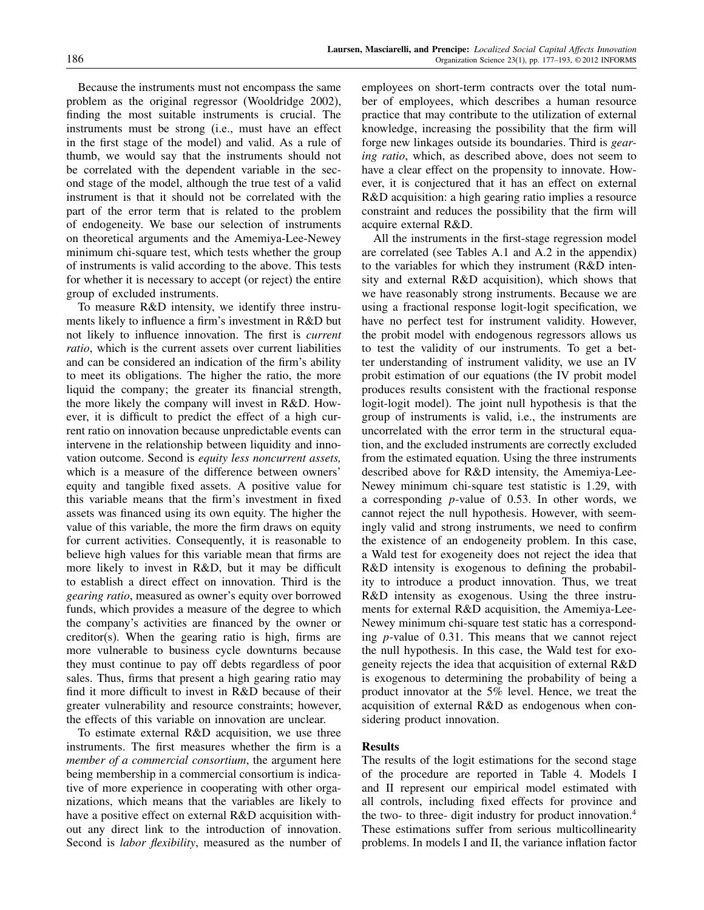Because the instruments must not encompass the same problem as the original regressor (Wooldridge 2002), finding the most suitable instruments is crucial. The instruments must be strong (i.e., must have an effect in the first stage of the model) and valid. As a rule of thumb, we would say that the instruments should not be correlated with the dependent variable in the second stage of the model, although the true test of a valid instrument is that it should not be correlated with the part of the error term that is related to the problem of endogeneity. We base our selection of instruments on theoretical arguments and the Amemiya-Lee-Newey minimum chi-square test, which tests whether the group of instruments is valid according to the above. This tests for whether it is necessary to accept (or reject) the entire group of excluded instruments.

To measure R&D intensity, we identify three instruments likely to influence a firm's investment in R&D but not likely to influence innovation. The first is *current ratio*, which is the current assets over current liabilities and can be considered an indication of the firm's ability to meet its obligations. The higher the ratio, the more liquid the company; the greater its financial strength, the more likely the company will invest in R&D. However, it is difficult to predict the effect of a high current ratio on innovation because unpredictable events can intervene in the relationship between liquidity and innovation outcome. Second is *equity less noncurrent assets,* which is a measure of the difference between owners' equity and tangible fixed assets. A positive value for this variable means that the firm's investment in fixed assets was financed using its own equity. The higher the value of this variable, the more the firm draws on equity for current activities. Consequently, it is reasonable to believe high values for this variable mean that firms are more likely to invest in R&D, but it may be difficult to establish a direct effect on innovation. Third is the *gearing ratio*, measured as owner's equity over borrowed funds, which provides a measure of the degree to which the company's activities are financed by the owner or creditor(s). When the gearing ratio is high, firms are more vulnerable to business cycle downturns because they must continue to pay off debts regardless of poor sales. Thus, firms that present a high gearing ratio may find it more difficult to invest in R&D because of their greater vulnerability and resource constraints; however, the effects of this variable on innovation are unclear.

To estimate external R&D acquisition, we use three instruments. The first measures whether the firm is a *member of a commercial consortium*, the argument here being membership in a commercial consortium is indicative of more experience in cooperating with other organizations, which means that the variables are likely to have a positive effect on external R&D acquisition without any direct link to the introduction of innovation. Second is *labor flexibility*, measured as the number of employees on short-term contracts over the total number of employees, which describes a human resource practice that may contribute to the utilization of external knowledge, increasing the possibility that the firm will forge new linkages outside its boundaries. Third is *gearing ratio*, which, as described above, does not seem to have a clear effect on the propensity to innovate. However, it is conjectured that it has an effect on external R&D acquisition: a high gearing ratio implies a resource constraint and reduces the possibility that the firm will acquire external R&D.

All the instruments in the first-stage regression model are correlated (see Tables A.1 and A.2 in the appendix) to the variables for which they instrument (R&D intensity and external R&D acquisition), which shows that we have reasonably strong instruments. Because we are using a fractional response logit-logit specification, we have no perfect test for instrument validity. However, the probit model with endogenous regressors allows us to test the validity of our instruments. To get a better understanding of instrument validity, we use an IV probit estimation of our equations (the IV probit model produces results consistent with the fractional response logit-logit model). The joint null hypothesis is that the group of instruments is valid, i.e., the instruments are uncorrelated with the error term in the structural equation, and the excluded instruments are correctly excluded from the estimated equation. Using the three instruments described above for R&D intensity, the Amemiya-Lee-Newey minimum chi-square test statistic is 1.29, with a corresponding p-value of 0.53. In other words, we cannot reject the null hypothesis. However, with seemingly valid and strong instruments, we need to confirm the existence of an endogeneity problem. In this case, a Wald test for exogeneity does not reject the idea that R&D intensity is exogenous to defining the probability to introduce a product innovation. Thus, we treat R&D intensity as exogenous. Using the three instruments for external R&D acquisition, the Amemiya-Lee-Newey minimum chi-square test static has a corresponding p-value of 0.31. This means that we cannot reject the null hypothesis. In this case, the Wald test for exogeneity rejects the idea that acquisition of external R&D is exogenous to determining the probability of being a product innovator at the 5% level. Hence, we treat the acquisition of external R&D as endogenous when considering product innovation.

### Results

The results of the logit estimations for the second stage of the procedure are reported in Table 4. Models I and II represent our empirical model estimated with all controls, including fixed effects for province and the two- to three- digit industry for product innovation.<sup>4</sup> These estimations suffer from serious multicollinearity problems. In models I and II, the variance inflation factor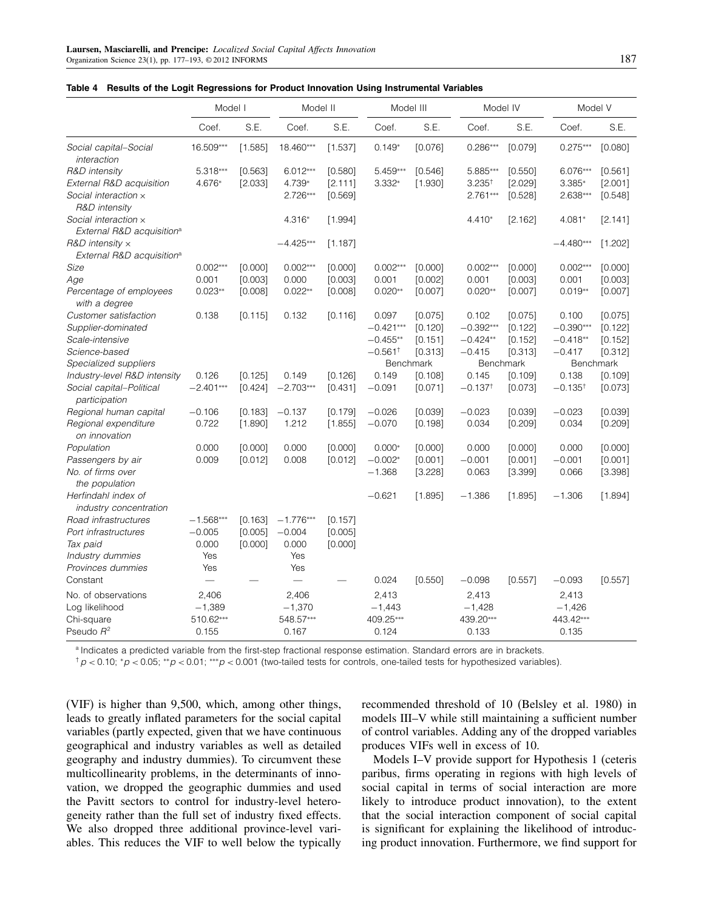|                                                                      | Model I     |         | Model II    |         | Model III             |         | Model IV              |         | Model V               |         |
|----------------------------------------------------------------------|-------------|---------|-------------|---------|-----------------------|---------|-----------------------|---------|-----------------------|---------|
|                                                                      | Coef.       | S.E.    | Coef.       | S.E.    | Coef.                 | S.E.    | Coef.                 | S.E.    | Coef.                 | S.E.    |
| Social capital-Social<br>interaction                                 | 16.509***   | [1.585] | 18.460***   | [1.537] | $0.149*$              | [0.076] | $0.286***$            | [0.079] | $0.275***$            | [0.080] |
| R&D intensity                                                        | 5.318***    | [0.563] | $6.012***$  | [0.580] | 5.459***              | [0.546] | 5.885***              | [0.550] | 6.076***              | [0.561] |
| External R&D acquisition                                             | 4.676*      | [2.033] | 4.739*      | [2.111] | $3.332*$              | [1.930] | $3.235^{+}$           | [2.029] | $3.385*$              | [2.001] |
| Social interaction $\times$<br>R&D intensity                         |             |         | $2.726***$  | [0.569] |                       |         | $2.761***$            | [0.528] | 2.638***              | [0.548] |
| Social interaction $\times$<br>External R&D acquisition <sup>a</sup> |             |         | 4.316*      | [1.994] |                       |         | 4.410*                | [2.162] | 4.081*                | [2.141] |
| $R&D$ intensity $\times$<br>External R&D acquisition <sup>a</sup>    |             |         | $-4.425***$ | [1.187] |                       |         |                       |         | $-4.480***$           | [1.202] |
| Size                                                                 | $0.002***$  | [0.000] | $0.002***$  | [0.000] | $0.002***$            | [0.000] | $0.002***$            | [0.000] | $0.002***$            | [0.000] |
| Age                                                                  | 0.001       | [0.003] | 0.000       | [0.003] | 0.001                 | [0.002] | 0.001                 | [0.003] | 0.001                 | [0.003] |
| Percentage of employees<br>with a degree                             | $0.023**$   | [0.008] | $0.022**$   | [0.008] | $0.020**$             | [0.007] | $0.020**$             | [0.007] | $0.019**$             | [0.007] |
| Customer satisfaction                                                | 0.138       | [0.115] | 0.132       | [0.116] | 0.097                 | [0.075] | 0.102                 | [0.075] | 0.100                 | [0.075] |
| Supplier-dominated                                                   |             |         |             |         | $-0.421***$           | [0.120] | $-0.392***$           | [0.122] | $-0.390***$           | [0.122] |
| Scale-intensive                                                      |             |         |             |         | $-0.455**$            | [0.151] | $-0.424**$            | [0.152] | $-0.418**$            | [0.152] |
| Science-based                                                        |             |         |             |         | $-0.561$ <sup>t</sup> | [0.313] | $-0.415$              | [0.313] | $-0.417$              | [0.312] |
| Specialized suppliers                                                |             |         |             |         | <b>Benchmark</b>      |         | Benchmark             |         | <b>Benchmark</b>      |         |
| Industry-level R&D intensity                                         | 0.126       | [0.125] | 0.149       | [0.126] | 0.149                 | [0.108] | 0.145                 | [0.109] | 0.138                 | [0.109] |
| Social capital-Political<br>participation                            | $-2.401***$ | [0.424] | $-2.703***$ | [0.431] | $-0.091$              | [0.071] | $-0.137$ <sup>+</sup> | [0.073] | $-0.135$ <sup>+</sup> | [0.073] |
| Regional human capital                                               | $-0.106$    | [0.183] | $-0.137$    | [0.179] | $-0.026$              | [0.039] | $-0.023$              | [0.039] | $-0.023$              | [0.039] |
| Regional expenditure<br>on innovation                                | 0.722       | [1.890] | 1.212       | [1.855] | $-0.070$              | [0.198] | 0.034                 | [0.209] | 0.034                 | [0.209] |
| Population                                                           | 0.000       | [0.000] | 0.000       | [0.000] | $0.000*$              | [0.000] | 0.000                 | [0.000] | 0.000                 | [0.000] |
| Passengers by air                                                    | 0.009       | [0.012] | 0.008       | [0.012] | $-0.002*$             | [0.001] | $-0.001$              | [0.001] | $-0.001$              | [0.001] |
| No. of firms over<br>the population                                  |             |         |             |         | $-1.368$              | [3.228] | 0.063                 | [3.399] | 0.066                 | [3.398] |
| Herfindahl index of<br>industry concentration                        |             |         |             |         | $-0.621$              | [1.895] | $-1.386$              | [1.895] | $-1.306$              | [1.894] |
| Road infrastructures                                                 | $-1.568***$ | [0.163] | $-1.776***$ | [0.157] |                       |         |                       |         |                       |         |
| Port infrastructures                                                 | $-0.005$    | [0.005] | $-0.004$    | [0.005] |                       |         |                       |         |                       |         |
| Tax paid                                                             | 0.000       | [0.000] | 0.000       | [0.000] |                       |         |                       |         |                       |         |
| Industry dummies                                                     | Yes         |         | Yes         |         |                       |         |                       |         |                       |         |
| Provinces dummies                                                    | Yes         |         | Yes         |         |                       |         |                       |         |                       |         |
| Constant                                                             |             |         |             |         | 0.024                 | [0.550] | $-0.098$              | [0.557] | $-0.093$              | [0.557] |
| No. of observations                                                  | 2,406       |         | 2,406       |         | 2,413                 |         | 2,413                 |         | 2,413                 |         |
| Log likelihood                                                       | $-1,389$    |         | $-1,370$    |         | $-1,443$              |         | $-1,428$              |         | $-1,426$              |         |
| Chi-square                                                           | 510.62***   |         | 548.57***   |         | 409.25***             |         | 439.20***             |         | 443.42***             |         |
| Pseudo R <sup>2</sup>                                                | 0.155       |         | 0.167       |         | 0.124                 |         | 0.133                 |         | 0.135                 |         |

| Table 4 Results of the Logit Regressions for Product Innovation Using Instrumental Variables |  |
|----------------------------------------------------------------------------------------------|--|
|                                                                                              |  |

a Indicates a predicted variable from the first-step fractional response estimation. Standard errors are in brackets.

 $\frac{1}{p}$  < 0.10;  $\frac{p}{p}$  < 0.05;  $\frac{p}{p}$  < 0.01;  $\frac{p}{p}$  < 0.001 (two-tailed tests for controls, one-tailed tests for hypothesized variables).

(VIF) is higher than 9,500, which, among other things, leads to greatly inflated parameters for the social capital variables (partly expected, given that we have continuous geographical and industry variables as well as detailed geography and industry dummies). To circumvent these multicollinearity problems, in the determinants of innovation, we dropped the geographic dummies and used the Pavitt sectors to control for industry-level heterogeneity rather than the full set of industry fixed effects. We also dropped three additional province-level variables. This reduces the VIF to well below the typically recommended threshold of 10 (Belsley et al. 1980) in models III–V while still maintaining a sufficient number of control variables. Adding any of the dropped variables produces VIFs well in excess of 10.

Models I–V provide support for Hypothesis 1 (ceteris paribus, firms operating in regions with high levels of social capital in terms of social interaction are more likely to introduce product innovation), to the extent that the social interaction component of social capital is significant for explaining the likelihood of introducing product innovation. Furthermore, we find support for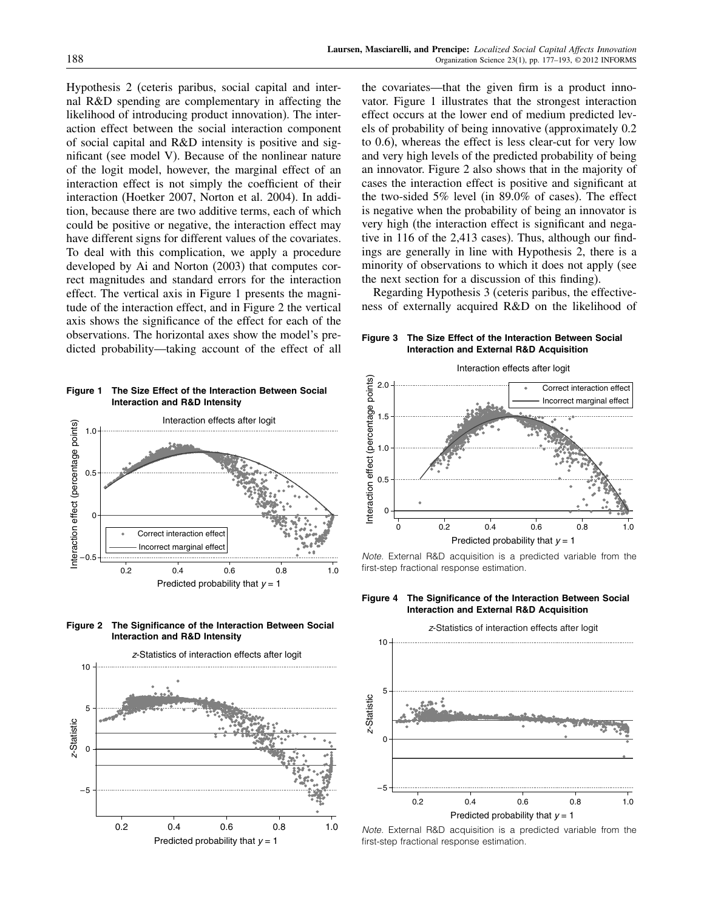Hypothesis 2 (ceteris paribus, social capital and internal R&D spending are complementary in affecting the likelihood of introducing product innovation). The interaction effect between the social interaction component of social capital and R&D intensity is positive and significant (see model V). Because of the nonlinear nature of the logit model, however, the marginal effect of an interaction effect is not simply the coefficient of their interaction (Hoetker 2007, Norton et al. 2004). In addition, because there are two additive terms, each of which could be positive or negative, the interaction effect may have different signs for different values of the covariates. To deal with this complication, we apply a procedure developed by Ai and Norton (2003) that computes correct magnitudes and standard errors for the interaction effect. The vertical axis in Figure 1 presents the magnitude of the interaction effect, and in Figure 2 the vertical axis shows the significance of the effect for each of the observations. The horizontal axes show the model's predicted probability—taking account of the effect of all

Figure 1 The Size Effect of the Interaction Between Social Interaction and R&D Intensity



Figure 2 The Significance of the Interaction Between Social Interaction and R&D Intensity



the covariates—that the given firm is a product innovator. Figure 1 illustrates that the strongest interaction effect occurs at the lower end of medium predicted levels of probability of being innovative (approximately 0.2 to 0.6), whereas the effect is less clear-cut for very low and very high levels of the predicted probability of being an innovator. Figure 2 also shows that in the majority of cases the interaction effect is positive and significant at the two-sided 5% level (in 89.0% of cases). The effect is negative when the probability of being an innovator is very high (the interaction effect is significant and negative in 116 of the 2,413 cases). Thus, although our findings are generally in line with Hypothesis 2, there is a minority of observations to which it does not apply (see the next section for a discussion of this finding).

Regarding Hypothesis 3 (ceteris paribus, the effectiveness of externally acquired R&D on the likelihood of

### Figure 3 The Size Effect of the Interaction Between Social Interaction and External R&D Acquisition





Figure 4 The Significance of the Interaction Between Social Interaction and External R&D Acquisition



Note. External R&D acquisition is a predicted variable from the first-step fractional response estimation.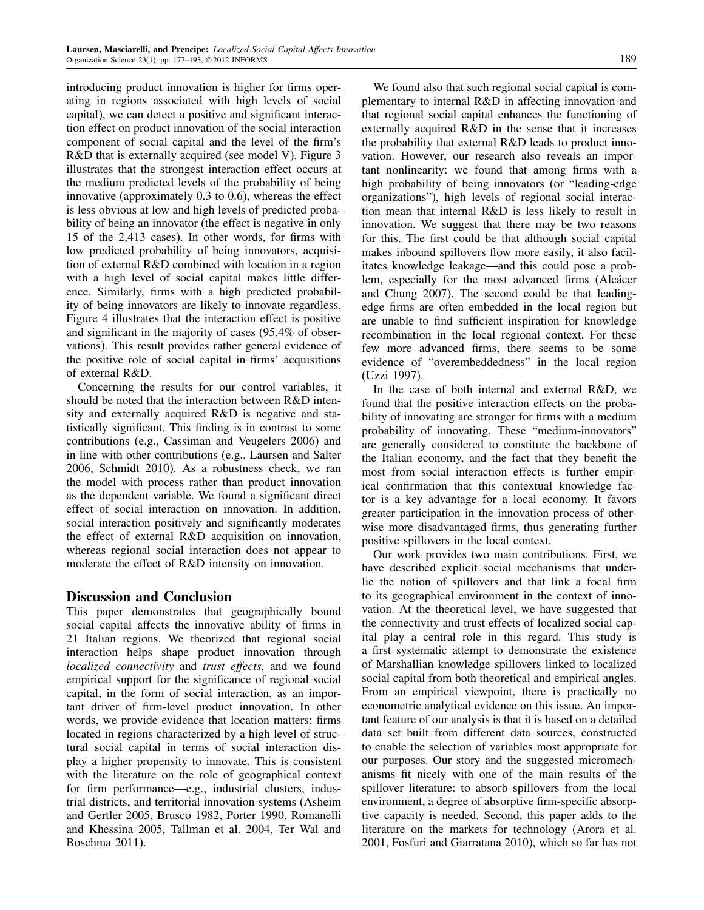introducing product innovation is higher for firms operating in regions associated with high levels of social capital), we can detect a positive and significant interaction effect on product innovation of the social interaction component of social capital and the level of the firm's R&D that is externally acquired (see model V). Figure 3 illustrates that the strongest interaction effect occurs at the medium predicted levels of the probability of being innovative (approximately 0.3 to 0.6), whereas the effect is less obvious at low and high levels of predicted probability of being an innovator (the effect is negative in only 15 of the 2,413 cases). In other words, for firms with low predicted probability of being innovators, acquisition of external R&D combined with location in a region with a high level of social capital makes little difference. Similarly, firms with a high predicted probability of being innovators are likely to innovate regardless. Figure 4 illustrates that the interaction effect is positive and significant in the majority of cases (95.4% of observations). This result provides rather general evidence of the positive role of social capital in firms' acquisitions of external R&D.

Concerning the results for our control variables, it should be noted that the interaction between R&D intensity and externally acquired R&D is negative and statistically significant. This finding is in contrast to some contributions (e.g., Cassiman and Veugelers 2006) and in line with other contributions (e.g., Laursen and Salter 2006, Schmidt 2010). As a robustness check, we ran the model with process rather than product innovation as the dependent variable. We found a significant direct effect of social interaction on innovation. In addition, social interaction positively and significantly moderates the effect of external R&D acquisition on innovation, whereas regional social interaction does not appear to moderate the effect of R&D intensity on innovation.

# Discussion and Conclusion

This paper demonstrates that geographically bound social capital affects the innovative ability of firms in 21 Italian regions. We theorized that regional social interaction helps shape product innovation through *localized connectivity* and *trust effects*, and we found empirical support for the significance of regional social capital, in the form of social interaction, as an important driver of firm-level product innovation. In other words, we provide evidence that location matters: firms located in regions characterized by a high level of structural social capital in terms of social interaction display a higher propensity to innovate. This is consistent with the literature on the role of geographical context for firm performance—e.g., industrial clusters, industrial districts, and territorial innovation systems (Asheim and Gertler 2005, Brusco 1982, Porter 1990, Romanelli and Khessina 2005, Tallman et al. 2004, Ter Wal and Boschma 2011).

We found also that such regional social capital is complementary to internal R&D in affecting innovation and that regional social capital enhances the functioning of externally acquired R&D in the sense that it increases the probability that external R&D leads to product innovation. However, our research also reveals an important nonlinearity: we found that among firms with a high probability of being innovators (or "leading-edge organizations"), high levels of regional social interaction mean that internal R&D is less likely to result in innovation. We suggest that there may be two reasons for this. The first could be that although social capital makes inbound spillovers flow more easily, it also facilitates knowledge leakage—and this could pose a problem, especially for the most advanced firms (Alcácer and Chung 2007). The second could be that leadingedge firms are often embedded in the local region but are unable to find sufficient inspiration for knowledge recombination in the local regional context. For these few more advanced firms, there seems to be some evidence of "overembeddedness" in the local region (Uzzi 1997).

In the case of both internal and external R&D, we found that the positive interaction effects on the probability of innovating are stronger for firms with a medium probability of innovating. These "medium-innovators" are generally considered to constitute the backbone of the Italian economy, and the fact that they benefit the most from social interaction effects is further empirical confirmation that this contextual knowledge factor is a key advantage for a local economy. It favors greater participation in the innovation process of otherwise more disadvantaged firms, thus generating further positive spillovers in the local context.

Our work provides two main contributions. First, we have described explicit social mechanisms that underlie the notion of spillovers and that link a focal firm to its geographical environment in the context of innovation. At the theoretical level, we have suggested that the connectivity and trust effects of localized social capital play a central role in this regard. This study is a first systematic attempt to demonstrate the existence of Marshallian knowledge spillovers linked to localized social capital from both theoretical and empirical angles. From an empirical viewpoint, there is practically no econometric analytical evidence on this issue. An important feature of our analysis is that it is based on a detailed data set built from different data sources, constructed to enable the selection of variables most appropriate for our purposes. Our story and the suggested micromechanisms fit nicely with one of the main results of the spillover literature: to absorb spillovers from the local environment, a degree of absorptive firm-specific absorptive capacity is needed. Second, this paper adds to the literature on the markets for technology (Arora et al. 2001, Fosfuri and Giarratana 2010), which so far has not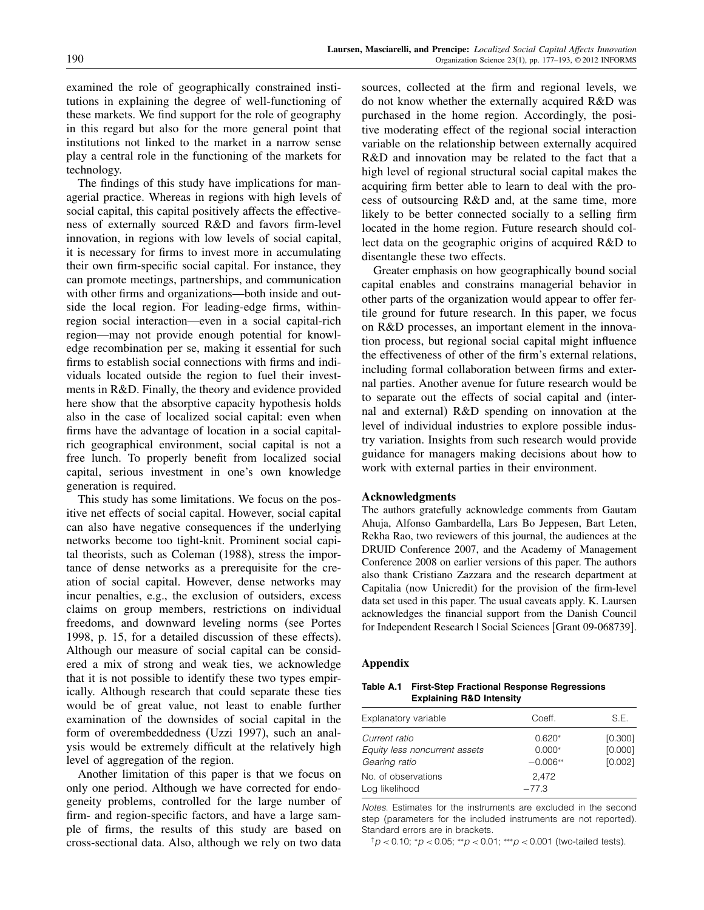examined the role of geographically constrained institutions in explaining the degree of well-functioning of these markets. We find support for the role of geography in this regard but also for the more general point that institutions not linked to the market in a narrow sense play a central role in the functioning of the markets for technology.

The findings of this study have implications for managerial practice. Whereas in regions with high levels of social capital, this capital positively affects the effectiveness of externally sourced R&D and favors firm-level innovation, in regions with low levels of social capital, it is necessary for firms to invest more in accumulating their own firm-specific social capital. For instance, they can promote meetings, partnerships, and communication with other firms and organizations—both inside and outside the local region. For leading-edge firms, withinregion social interaction—even in a social capital-rich region—may not provide enough potential for knowledge recombination per se, making it essential for such firms to establish social connections with firms and individuals located outside the region to fuel their investments in R&D. Finally, the theory and evidence provided here show that the absorptive capacity hypothesis holds also in the case of localized social capital: even when firms have the advantage of location in a social capitalrich geographical environment, social capital is not a free lunch. To properly benefit from localized social capital, serious investment in one's own knowledge generation is required.

This study has some limitations. We focus on the positive net effects of social capital. However, social capital can also have negative consequences if the underlying networks become too tight-knit. Prominent social capital theorists, such as Coleman (1988), stress the importance of dense networks as a prerequisite for the creation of social capital. However, dense networks may incur penalties, e.g., the exclusion of outsiders, excess claims on group members, restrictions on individual freedoms, and downward leveling norms (see Portes 1998, p. 15, for a detailed discussion of these effects). Although our measure of social capital can be considered a mix of strong and weak ties, we acknowledge that it is not possible to identify these two types empirically. Although research that could separate these ties would be of great value, not least to enable further examination of the downsides of social capital in the form of overembeddedness (Uzzi 1997), such an analysis would be extremely difficult at the relatively high level of aggregation of the region.

Another limitation of this paper is that we focus on only one period. Although we have corrected for endogeneity problems, controlled for the large number of firm- and region-specific factors, and have a large sample of firms, the results of this study are based on cross-sectional data. Also, although we rely on two data sources, collected at the firm and regional levels, we do not know whether the externally acquired R&D was purchased in the home region. Accordingly, the positive moderating effect of the regional social interaction variable on the relationship between externally acquired R&D and innovation may be related to the fact that a high level of regional structural social capital makes the acquiring firm better able to learn to deal with the process of outsourcing R&D and, at the same time, more likely to be better connected socially to a selling firm located in the home region. Future research should collect data on the geographic origins of acquired R&D to disentangle these two effects.

Greater emphasis on how geographically bound social capital enables and constrains managerial behavior in other parts of the organization would appear to offer fertile ground for future research. In this paper, we focus on R&D processes, an important element in the innovation process, but regional social capital might influence the effectiveness of other of the firm's external relations, including formal collaboration between firms and external parties. Another avenue for future research would be to separate out the effects of social capital and (internal and external) R&D spending on innovation at the level of individual industries to explore possible industry variation. Insights from such research would provide guidance for managers making decisions about how to work with external parties in their environment.

### Acknowledgments

The authors gratefully acknowledge comments from Gautam Ahuja, Alfonso Gambardella, Lars Bo Jeppesen, Bart Leten, Rekha Rao, two reviewers of this journal, the audiences at the DRUID Conference 2007, and the Academy of Management Conference 2008 on earlier versions of this paper. The authors also thank Cristiano Zazzara and the research department at Capitalia (now Unicredit) for the provision of the firm-level data set used in this paper. The usual caveats apply. K. Laursen acknowledges the financial support from the Danish Council for Independent Research | Social Sciences [Grant 09-068739].

### Appendix

Table A.1 First-Step Fractional Response Regressions Explaining R&D Intensity

| Explanatory variable          | Coeff.     | S.E.    |
|-------------------------------|------------|---------|
| Current ratio                 | $0.620*$   | [0.300] |
| Equity less noncurrent assets | $0.000*$   | [0.000] |
| Gearing ratio                 | $-0.006**$ | [0.002] |
| No. of observations           | 2,472      |         |
| Log likelihood                | $-77.3$    |         |
|                               |            |         |

Notes. Estimates for the instruments are excluded in the second step (parameters for the included instruments are not reported). Standard errors are in brackets.

 $\frac{1}{p}$  < 0.10;  $\frac{p}{p}$  < 0.05; \*\*  $p$  < 0.01; \*\*\*  $p$  < 0.001 (two-tailed tests).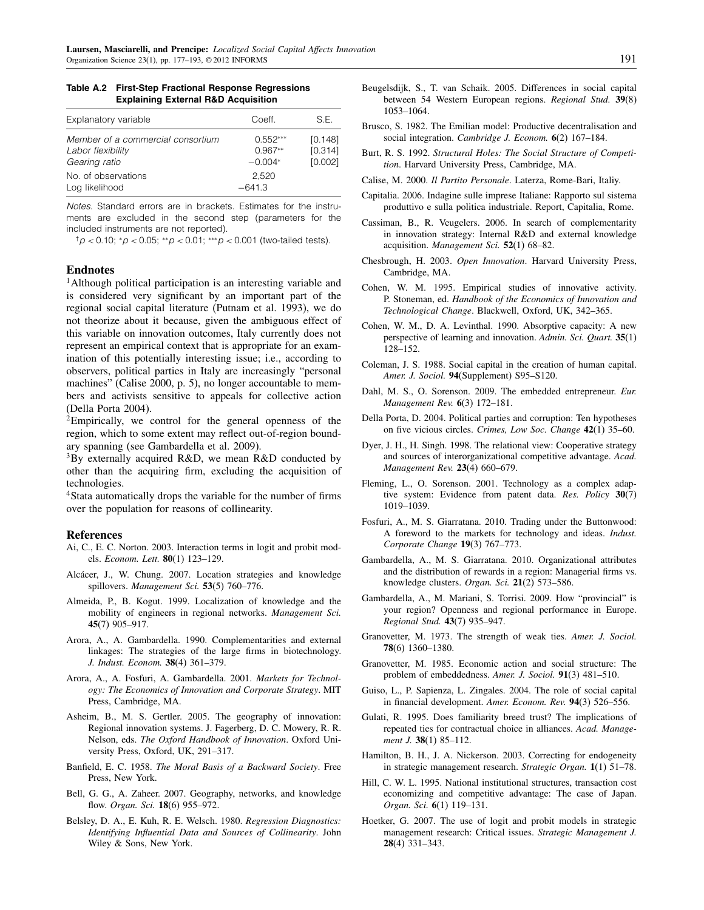| Table A.2 First-Step Fractional Response Regressions |
|------------------------------------------------------|
| <b>Explaining External R&amp;D Acquisition</b>       |

| Explanatory variable                                                    | Coeff.                               | S F                           |
|-------------------------------------------------------------------------|--------------------------------------|-------------------------------|
| Member of a commercial consortium<br>Labor flexibility<br>Gearing ratio | $0.552***$<br>$0.967**$<br>$-0.004*$ | [0.148]<br>[0.314]<br>[0.002] |
| No. of observations<br>Log likelihood                                   | 2,520<br>$-641.3$                    |                               |

Notes. Standard errors are in brackets. Estimates for the instruments are excluded in the second step (parameters for the included instruments are not reported).

 $^{\dagger}p$  < 0.10;  $^{\ast}p$  < 0.05;  $^{\ast\ast}p$  < 0.01;  $^{\ast\ast\ast}p$  < 0.001 (two-tailed tests).

### Endnotes

<sup>1</sup>Although political participation is an interesting variable and is considered very significant by an important part of the regional social capital literature (Putnam et al. 1993), we do not theorize about it because, given the ambiguous effect of this variable on innovation outcomes, Italy currently does not represent an empirical context that is appropriate for an examination of this potentially interesting issue; i.e., according to observers, political parties in Italy are increasingly "personal machines" (Calise 2000, p. 5), no longer accountable to members and activists sensitive to appeals for collective action (Della Porta 2004).

<sup>2</sup>Empirically, we control for the general openness of the region, which to some extent may reflect out-of-region boundary spanning (see Gambardella et al. 2009).

 $3$ By externally acquired R&D, we mean R&D conducted by other than the acquiring firm, excluding the acquisition of technologies.

4Stata automatically drops the variable for the number of firms over the population for reasons of collinearity.

#### References

- Ai, C., E. C. Norton. 2003. Interaction terms in logit and probit models. *Econom. Lett.* 80(1) 123–129.
- Alcácer, J., W. Chung. 2007. Location strategies and knowledge spillovers. *Management Sci.* 53(5) 760–776.
- Almeida, P., B. Kogut. 1999. Localization of knowledge and the mobility of engineers in regional networks. *Management Sci.* 45(7) 905–917.
- Arora, A., A. Gambardella. 1990. Complementarities and external linkages: The strategies of the large firms in biotechnology. *J. Indust. Econom.* 38(4) 361–379.
- Arora, A., A. Fosfuri, A. Gambardella. 2001. *Markets for Technology: The Economics of Innovation and Corporate Strategy*. MIT Press, Cambridge, MA.
- Asheim, B., M. S. Gertler. 2005. The geography of innovation: Regional innovation systems. J. Fagerberg, D. C. Mowery, R. R. Nelson, eds. *The Oxford Handbook of Innovation*. Oxford University Press, Oxford, UK, 291–317.
- Banfield, E. C. 1958. *The Moral Basis of a Backward Society*. Free Press, New York.
- Bell, G. G., A. Zaheer. 2007. Geography, networks, and knowledge flow. *Organ. Sci.* 18(6) 955–972.
- Belsley, D. A., E. Kuh, R. E. Welsch. 1980. *Regression Diagnostics: Identifying Influential Data and Sources of Collinearity*. John Wiley & Sons, New York.
- Beugelsdijk, S., T. van Schaik. 2005. Differences in social capital between 54 Western European regions. *Regional Stud.* 39(8) 1053–1064.
- Brusco, S. 1982. The Emilian model: Productive decentralisation and social integration. *Cambridge J. Econom.* 6(2) 167–184.
- Burt, R. S. 1992. *Structural Holes: The Social Structure of Competition*. Harvard University Press, Cambridge, MA.
- Calise, M. 2000. *Il Partito Personale*. Laterza, Rome-Bari, Italiy.
- Capitalia. 2006. Indagine sulle imprese Italiane: Rapporto sul sistema produttivo e sulla politica industriale. Report, Capitalia, Rome.
- Cassiman, B., R. Veugelers. 2006. In search of complementarity in innovation strategy: Internal R&D and external knowledge acquisition. *Management Sci.* 52(1) 68–82.
- Chesbrough, H. 2003. *Open Innovation*. Harvard University Press, Cambridge, MA.
- Cohen, W. M. 1995. Empirical studies of innovative activity. P. Stoneman, ed. *Handbook of the Economics of Innovation and Technological Change*. Blackwell, Oxford, UK, 342–365.
- Cohen, W. M., D. A. Levinthal. 1990. Absorptive capacity: A new perspective of learning and innovation. *Admin. Sci. Quart.* 35(1) 128–152.
- Coleman, J. S. 1988. Social capital in the creation of human capital. *Amer. J. Sociol.* 94(Supplement) S95–S120.
- Dahl, M. S., O. Sorenson. 2009. The embedded entrepreneur. *Eur. Management Rev.* 6(3) 172–181.
- Della Porta, D. 2004. Political parties and corruption: Ten hypotheses on five vicious circles. *Crimes, Low Soc. Change* 42(1) 35–60.
- Dyer, J. H., H. Singh. 1998. The relational view: Cooperative strategy and sources of interorganizational competitive advantage. *Acad. Management Rev.* 23(4) 660–679.
- Fleming, L., O. Sorenson. 2001. Technology as a complex adaptive system: Evidence from patent data. *Res. Policy* 30(7) 1019–1039.
- Fosfuri, A., M. S. Giarratana. 2010. Trading under the Buttonwood: A foreword to the markets for technology and ideas. *Indust. Corporate Change* 19(3) 767–773.
- Gambardella, A., M. S. Giarratana. 2010. Organizational attributes and the distribution of rewards in a region: Managerial firms vs. knowledge clusters. *Organ. Sci.* 21(2) 573–586.
- Gambardella, A., M. Mariani, S. Torrisi. 2009. How "provincial" is your region? Openness and regional performance in Europe. *Regional Stud.* 43(7) 935–947.
- Granovetter, M. 1973. The strength of weak ties. *Amer. J. Sociol.* 78(6) 1360–1380.
- Granovetter, M. 1985. Economic action and social structure: The problem of embeddedness. *Amer. J. Sociol.* 91(3) 481–510.
- Guiso, L., P. Sapienza, L. Zingales. 2004. The role of social capital in financial development. *Amer. Econom. Rev.* 94(3) 526–556.
- Gulati, R. 1995. Does familiarity breed trust? The implications of repeated ties for contractual choice in alliances. *Acad. Management J.* 38(1) 85–112.
- Hamilton, B. H., J. A. Nickerson. 2003. Correcting for endogeneity in strategic management research. *Strategic Organ.* 1(1) 51–78.
- Hill, C. W. L. 1995. National institutional structures, transaction cost economizing and competitive advantage: The case of Japan. *Organ. Sci.* 6(1) 119–131.
- Hoetker, G. 2007. The use of logit and probit models in strategic management research: Critical issues. *Strategic Management J.* 28(4) 331–343.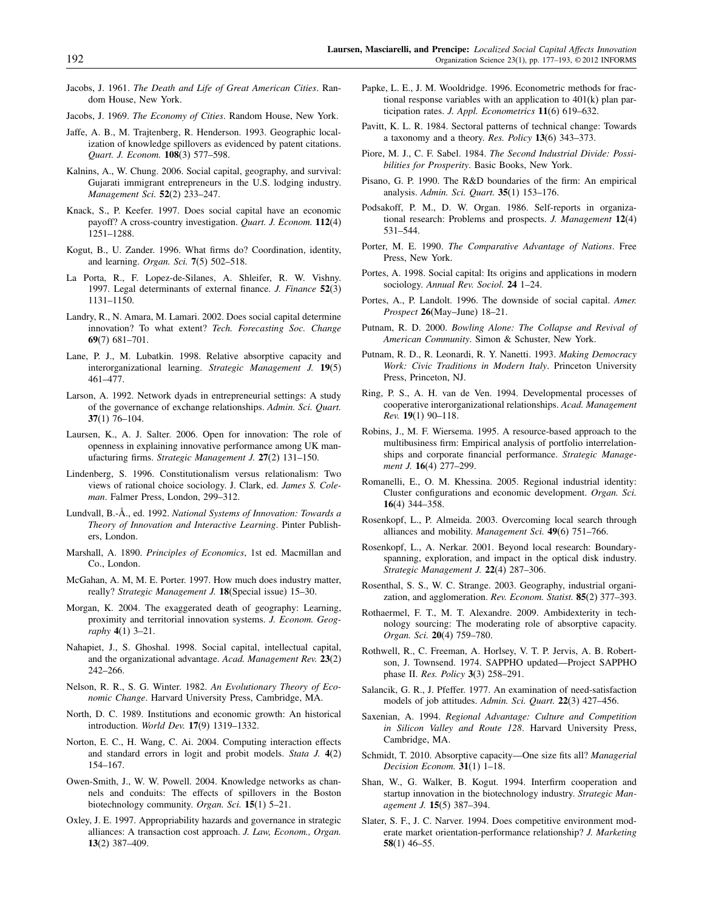- Jacobs, J. 1961. *The Death and Life of Great American Cities*. Random House, New York.
- Jacobs, J. 1969. *The Economy of Cities*. Random House, New York.
- Jaffe, A. B., M. Trajtenberg, R. Henderson. 1993. Geographic localization of knowledge spillovers as evidenced by patent citations. *Quart. J. Econom.* 108(3) 577–598.
- Kalnins, A., W. Chung. 2006. Social capital, geography, and survival: Gujarati immigrant entrepreneurs in the U.S. lodging industry. *Management Sci.* 52(2) 233–247.
- Knack, S., P. Keefer. 1997. Does social capital have an economic payoff? A cross-country investigation. *Quart. J. Econom.* 112(4) 1251–1288.
- Kogut, B., U. Zander. 1996. What firms do? Coordination, identity, and learning. *Organ. Sci.* 7(5) 502–518.
- La Porta, R., F. Lopez-de-Silanes, A. Shleifer, R. W. Vishny. 1997. Legal determinants of external finance. *J. Finance* 52(3) 1131–1150.
- Landry, R., N. Amara, M. Lamari. 2002. Does social capital determine innovation? To what extent? *Tech. Forecasting Soc. Change* 69(7) 681–701.
- Lane, P. J., M. Lubatkin. 1998. Relative absorptive capacity and interorganizational learning. *Strategic Management J.* 19(5) 461–477.
- Larson, A. 1992. Network dyads in entrepreneurial settings: A study of the governance of exchange relationships. *Admin. Sci. Quart.* 37(1) 76–104.
- Laursen, K., A. J. Salter. 2006. Open for innovation: The role of openness in explaining innovative performance among UK manufacturing firms. *Strategic Management J.* 27(2) 131–150.
- Lindenberg, S. 1996. Constitutionalism versus relationalism: Two views of rational choice sociology. J. Clark, ed. *James S. Coleman*. Falmer Press, London, 299–312.
- Lundvall, B.-Å., ed. 1992. *National Systems of Innovation: Towards a Theory of Innovation and Interactive Learning*. Pinter Publishers, London.
- Marshall, A. 1890. *Principles of Economics*, 1st ed. Macmillan and Co., London.
- McGahan, A. M, M. E. Porter. 1997. How much does industry matter, really? *Strategic Management J.* 18(Special issue) 15–30.
- Morgan, K. 2004. The exaggerated death of geography: Learning, proximity and territorial innovation systems. *J. Econom. Geography* 4(1) 3–21.
- Nahapiet, J., S. Ghoshal. 1998. Social capital, intellectual capital, and the organizational advantage. *Acad. Management Rev.* 23(2) 242–266.
- Nelson, R. R., S. G. Winter. 1982. *An Evolutionary Theory of Economic Change*. Harvard University Press, Cambridge, MA.
- North, D. C. 1989. Institutions and economic growth: An historical introduction. *World Dev.* 17(9) 1319–1332.
- Norton, E. C., H. Wang, C. Ai. 2004. Computing interaction effects and standard errors in logit and probit models. *Stata J.* 4(2) 154–167.
- Owen-Smith, J., W. W. Powell. 2004. Knowledge networks as channels and conduits: The effects of spillovers in the Boston biotechnology community. *Organ. Sci.* 15(1) 5–21.
- Oxley, J. E. 1997. Appropriability hazards and governance in strategic alliances: A transaction cost approach. *J. Law, Econom., Organ.* 13(2) 387–409.
- Papke, L. E., J. M. Wooldridge. 1996. Econometric methods for fractional response variables with an application to 401(k) plan participation rates. *J. Appl. Econometrics* 11(6) 619–632.
- Pavitt, K. L. R. 1984. Sectoral patterns of technical change: Towards a taxonomy and a theory. *Res. Policy* 13(6) 343–373.
- Piore, M. J., C. F. Sabel. 1984. *The Second Industrial Divide: Possibilities for Prosperity*. Basic Books, New York.
- Pisano, G. P. 1990. The R&D boundaries of the firm: An empirical analysis. *Admin. Sci. Quart.* 35(1) 153–176.
- Podsakoff, P. M., D. W. Organ. 1986. Self-reports in organizational research: Problems and prospects. *J. Management* 12(4) 531–544.
- Porter, M. E. 1990. *The Comparative Advantage of Nations*. Free Press, New York.
- Portes, A. 1998. Social capital: Its origins and applications in modern sociology. *Annual Rev. Sociol.* 24 1–24.
- Portes, A., P. Landolt. 1996. The downside of social capital. *Amer. Prospect* 26(May–June) 18–21.
- Putnam, R. D. 2000. *Bowling Alone: The Collapse and Revival of American Community*. Simon & Schuster, New York.
- Putnam, R. D., R. Leonardi, R. Y. Nanetti. 1993. *Making Democracy Work: Civic Traditions in Modern Italy*. Princeton University Press, Princeton, NJ.
- Ring, P. S., A. H. van de Ven. 1994. Developmental processes of cooperative interorganizational relationships. *Acad. Management Rev.* 19(1) 90–118.
- Robins, J., M. F. Wiersema. 1995. A resource-based approach to the multibusiness firm: Empirical analysis of portfolio interrelationships and corporate financial performance. *Strategic Management J.* 16(4) 277–299.
- Romanelli, E., O. M. Khessina. 2005. Regional industrial identity: Cluster configurations and economic development. *Organ. Sci.* 16(4) 344–358.
- Rosenkopf, L., P. Almeida. 2003. Overcoming local search through alliances and mobility. *Management Sci.* 49(6) 751–766.
- Rosenkopf, L., A. Nerkar. 2001. Beyond local research: Boundaryspanning, exploration, and impact in the optical disk industry. *Strategic Management J.* 22(4) 287–306.
- Rosenthal, S. S., W. C. Strange. 2003. Geography, industrial organization, and agglomeration. *Rev. Econom. Statist.* 85(2) 377–393.
- Rothaermel, F. T., M. T. Alexandre. 2009. Ambidexterity in technology sourcing: The moderating role of absorptive capacity. *Organ. Sci.* 20(4) 759–780.
- Rothwell, R., C. Freeman, A. Horlsey, V. T. P. Jervis, A. B. Robertson, J. Townsend. 1974. SAPPHO updated—Project SAPPHO phase II. *Res. Policy* 3(3) 258–291.
- Salancik, G. R., J. Pfeffer. 1977. An examination of need-satisfaction models of job attitudes. *Admin. Sci. Quart.* 22(3) 427–456.
- Saxenian, A. 1994. *Regional Advantage: Culture and Competition in Silicon Valley and Route 128*. Harvard University Press, Cambridge, MA.
- Schmidt, T. 2010. Absorptive capacity—One size fits all? *Managerial Decision Econom.* 31(1) 1–18.
- Shan, W., G. Walker, B. Kogut. 1994. Interfirm cooperation and startup innovation in the biotechnology industry. *Strategic Management J.* 15(5) 387–394.
- Slater, S. F., J. C. Narver. 1994. Does competitive environment moderate market orientation-performance relationship? *J. Marketing* 58(1) 46–55.